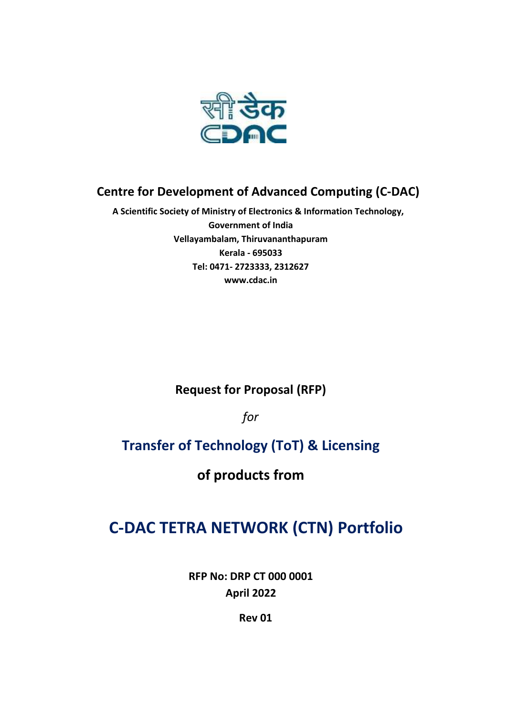

# **Centre for Development of Advanced Computing (C-DAC)**

**A Scientific Society of Ministry of Electronics & Information Technology, Government of India Vellayambalam, Thiruvananthapuram Kerala - 695033 Tel: 0471- 2723333, 2312627 [www.cdac.in](http://www.cdac.in/)**

**Request for Proposal (RFP)**

*for*

# **Transfer of Technology (ToT) & Licensing**

**of products from**

# **C-DAC TETRA NETWORK (CTN) Portfolio**

**RFP No: DRP CT 000 0001 April 2022**

**Rev 01**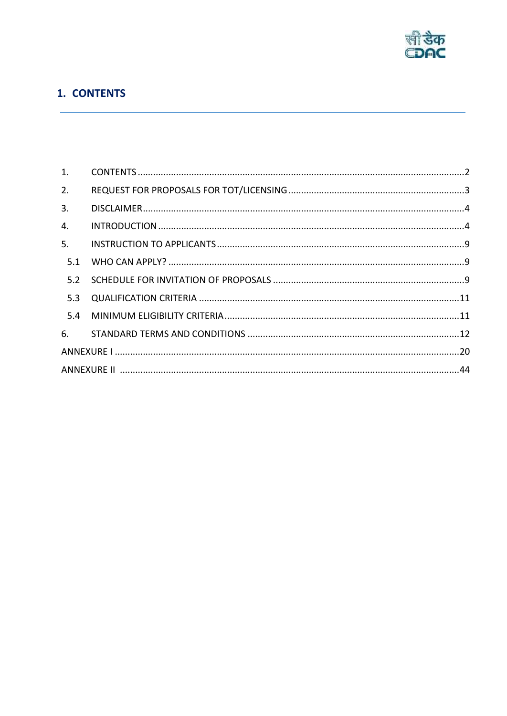

# <span id="page-1-0"></span>1. CONTENTS

| 1.  |  |  |  |
|-----|--|--|--|
| 2.  |  |  |  |
| 3.  |  |  |  |
| 4.  |  |  |  |
| 5.  |  |  |  |
|     |  |  |  |
|     |  |  |  |
|     |  |  |  |
| 5.4 |  |  |  |
|     |  |  |  |
|     |  |  |  |
|     |  |  |  |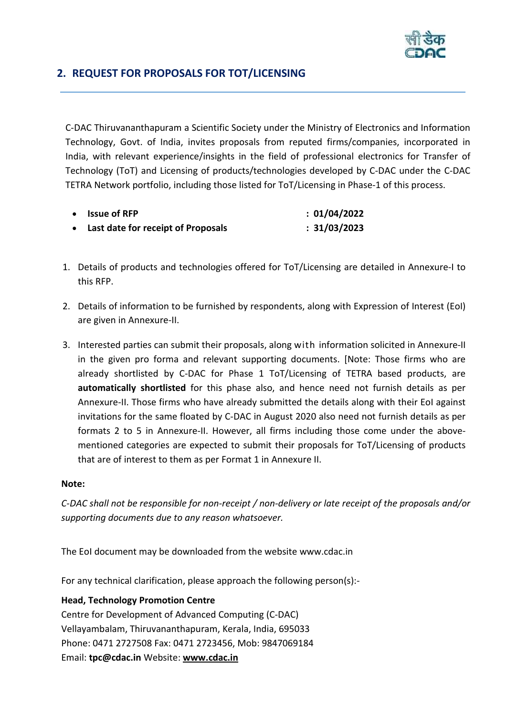

# <span id="page-2-0"></span>**2. REQUEST FOR PROPOSALS FOR TOT/LICENSING**

C-DAC Thiruvananthapuram a Scientific Society under the Ministry of Electronics and Information Technology, Govt. of India, invites proposals from reputed firms/companies, incorporated in India, with relevant experience/insights in the field of professional electronics for Transfer of Technology (ToT) and Licensing of products/technologies developed by C-DAC under the C-DAC TETRA Network portfolio, including those listed for ToT/Licensing in Phase-1 of this process.

| $\bullet$ Issue of RFP               | : 01/04/2022 |
|--------------------------------------|--------------|
| • Last date for receipt of Proposals | : 31/03/2023 |

- 1. Details of products and technologies offered for ToT/Licensing are detailed in Annexure-I to this RFP.
- 2. Details of information to be furnished by respondents, along with Expression of Interest (EoI) are given in Annexure-II.
- 3. Interested parties can submit their proposals, along with information solicited in Annexure-II in the given pro forma and relevant supporting documents. [Note: Those firms who are already shortlisted by C-DAC for Phase 1 ToT/Licensing of TETRA based products, are **automatically shortlisted** for this phase also, and hence need not furnish details as per Annexure-II. Those firms who have already submitted the details along with their EoI against invitations for the same floated by C-DAC in August 2020 also need not furnish details as per formats 2 to 5 in Annexure-II. However, all firms including those come under the abovementioned categories are expected to submit their proposals for ToT/Licensing of products that are of interest to them as per Format 1 in Annexure II.

## **Note:**

*C-DAC shall not be responsible for non-receipt / non-delivery or late receipt of the proposals and/or supporting documents due to any reason whatsoever.*

The EoI document may be downloaded from the website [www.cdac.in](http://www.cdac.in/)

For any technical clarification, please approach the following person(s):-

## **Head, Technology Promotion Centre**

Centre for Development of Advanced Computing (C-DAC) Vellayambalam, Thiruvananthapuram, Kerala, India, 695033 Phone: 0471 2727508 Fax: 0471 2723456, Mob: 9847069184 Email: **tpc@cdac.in** Website: **[www.cdac.in](http://www.cdac.in/)**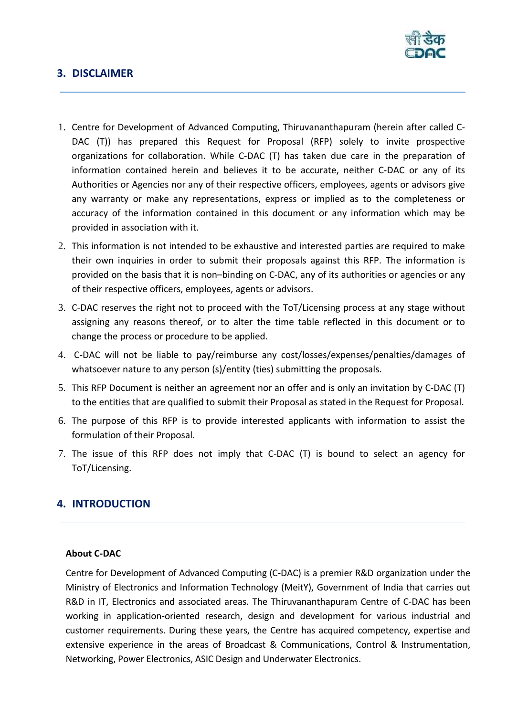

# <span id="page-3-0"></span>**3. DISCLAIMER**

- 1. Centre for Development of Advanced Computing, Thiruvananthapuram (herein after called C-DAC (T)) has prepared this Request for Proposal (RFP) solely to invite prospective organizations for collaboration. While C-DAC (T) has taken due care in the preparation of information contained herein and believes it to be accurate, neither C-DAC or any of its Authorities or Agencies nor any of their respective officers, employees, agents or advisors give any warranty or make any representations, express or implied as to the completeness or accuracy of the information contained in this document or any information which may be provided in association with it.
- 2. This information is not intended to be exhaustive and interested parties are required to make their own inquiries in order to submit their proposals against this RFP. The information is provided on the basis that it is non–binding on C-DAC, any of its authorities or agencies or any of their respective officers, employees, agents or advisors.
- 3. C-DAC reserves the right not to proceed with the ToT/Licensing process at any stage without assigning any reasons thereof, or to alter the time table reflected in this document or to change the process or procedure to be applied.
- 4. C-DAC will not be liable to pay/reimburse any cost/losses/expenses/penalties/damages of whatsoever nature to any person (s)/entity (ties) submitting the proposals.
- 5. This RFP Document is neither an agreement nor an offer and is only an invitation by C-DAC (T) to the entities that are qualified to submit their Proposal as stated in the Request for Proposal.
- 6. The purpose of this RFP is to provide interested applicants with information to assist the formulation of their Proposal.
- 7. The issue of this RFP does not imply that C-DAC (T) is bound to select an agency for ToT/Licensing.

# <span id="page-3-1"></span>**4. INTRODUCTION**

### **About C-DAC**

Centre for Development of Advanced Computing (C-DAC) is a premier R&D organization under the Ministry of Electronics and Information Technology (MeitY), Government of India that carries out R&D in IT, Electronics and associated areas. The Thiruvananthapuram Centre of C-DAC has been working in application-oriented research, design and development for various industrial and customer requirements. During these years, the Centre has acquired competency, expertise and extensive experience in the areas of Broadcast & Communications, Control & Instrumentation, Networking, Power Electronics, ASIC Design and Underwater Electronics.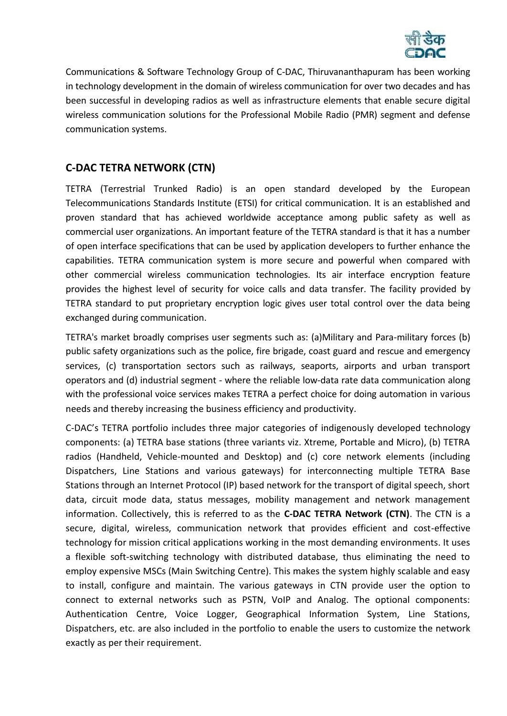

Communications & Software Technology Group of C-DAC, Thiruvananthapuram has been working in technology development in the domain of wireless communication for over two decades and has been successful in developing radios as well as infrastructure elements that enable secure digital wireless communication solutions for the Professional Mobile Radio (PMR) segment and defense communication systems.

# **C-DAC TETRA NETWORK (CTN)**

TETRA (Terrestrial Trunked Radio) is an open standard developed by the European Telecommunications Standards Institute (ETSI) for critical communication. It is an established and proven standard that has achieved worldwide acceptance among public safety as well as commercial user organizations. An important feature of the TETRA standard is that it has a number of open interface specifications that can be used by application developers to further enhance the capabilities. TETRA communication system is more secure and powerful when compared with other commercial wireless communication technologies. Its air interface encryption feature provides the highest level of security for voice calls and data transfer. The facility provided by TETRA standard to put proprietary encryption logic gives user total control over the data being exchanged during communication.

TETRA's market broadly comprises user segments such as: (a)Military and Para-military forces (b) public safety organizations such as the police, fire brigade, coast guard and rescue and emergency services, (c) transportation sectors such as railways, seaports, airports and urban transport operators and (d) industrial segment - where the reliable low-data rate data communication along with the professional voice services makes TETRA a perfect choice for doing automation in various needs and thereby increasing the business efficiency and productivity.

C-DAC's TETRA portfolio includes three major categories of indigenously developed technology components: (a) TETRA base stations (three variants viz. Xtreme, Portable and Micro), (b) TETRA radios (Handheld, Vehicle-mounted and Desktop) and (c) core network elements (including Dispatchers, Line Stations and various gateways) for interconnecting multiple TETRA Base Stations through an Internet Protocol (IP) based network for the transport of digital speech, short data, circuit mode data, status messages, mobility management and network management information. Collectively, this is referred to as the **C-DAC TETRA Network (CTN)**. The CTN is a secure, digital, wireless, communication network that provides efficient and cost-effective technology for mission critical applications working in the most demanding environments. It uses a flexible soft-switching technology with distributed database, thus eliminating the need to employ expensive MSCs (Main Switching Centre). This makes the system highly scalable and easy to install, configure and maintain. The various gateways in CTN provide user the option to connect to external networks such as PSTN, VoIP and Analog. The optional components: Authentication Centre, Voice Logger, Geographical Information System, Line Stations, Dispatchers, etc. are also included in the portfolio to enable the users to customize the network exactly as per their requirement.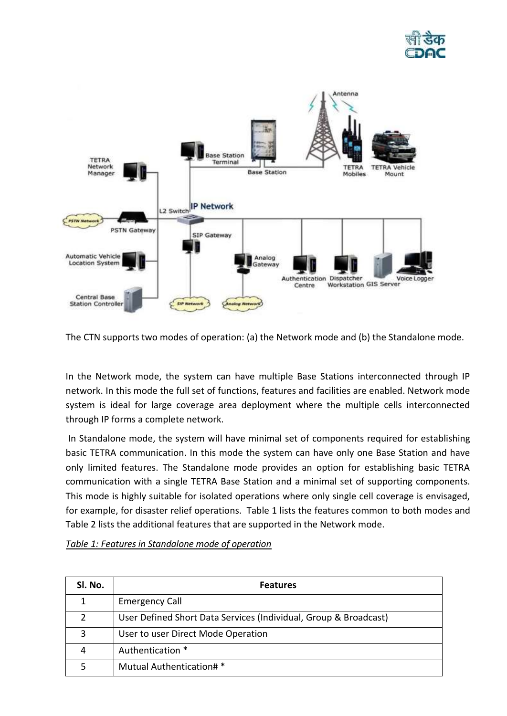



The CTN supports two modes of operation: (a) the Network mode and (b) the Standalone mode.

In the Network mode, the system can have multiple Base Stations interconnected through IP network. In this mode the full set of functions, features and facilities are enabled. Network mode system is ideal for large coverage area deployment where the multiple cells interconnected through IP forms a complete network.

In Standalone mode, the system will have minimal set of components required for establishing basic TETRA communication. In this mode the system can have only one Base Station and have only limited features. The Standalone mode provides an option for establishing basic TETRA communication with a single TETRA Base Station and a minimal set of supporting components. This mode is highly suitable for isolated operations where only single cell coverage is envisaged, for example, for disaster relief operations. Table 1 lists the features common to both modes and Table 2 lists the additional features that are supported in the Network mode.

| SI. No. | <b>Features</b>                                                  |
|---------|------------------------------------------------------------------|
|         | <b>Emergency Call</b>                                            |
|         | User Defined Short Data Services (Individual, Group & Broadcast) |
| 3       | User to user Direct Mode Operation                               |
|         | Authentication *                                                 |
|         | Mutual Authentication# *                                         |

## *Table 1: Features in Standalone mode of operation*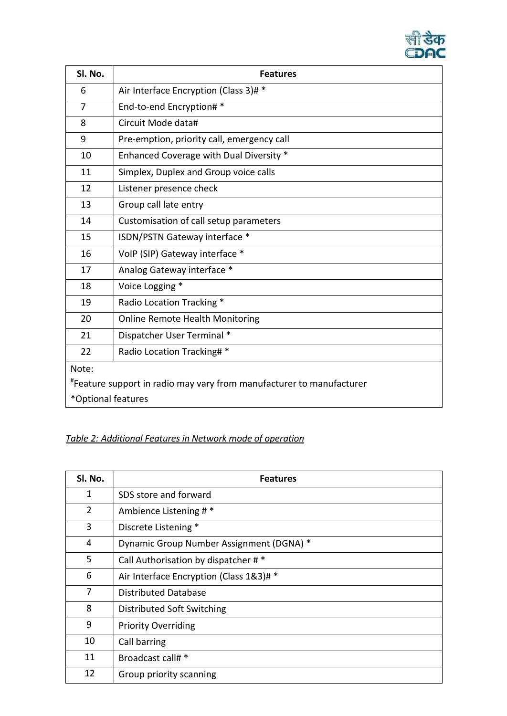

| Sl. No.                                                              | <b>Features</b>                            |
|----------------------------------------------------------------------|--------------------------------------------|
| 6                                                                    | Air Interface Encryption (Class 3)# *      |
| 7                                                                    | End-to-end Encryption# *                   |
| 8                                                                    | Circuit Mode data#                         |
| 9                                                                    | Pre-emption, priority call, emergency call |
| 10                                                                   | Enhanced Coverage with Dual Diversity *    |
| 11                                                                   | Simplex, Duplex and Group voice calls      |
| 12                                                                   | Listener presence check                    |
| 13                                                                   | Group call late entry                      |
| 14                                                                   | Customisation of call setup parameters     |
| 15                                                                   | ISDN/PSTN Gateway interface *              |
| 16                                                                   | VoIP (SIP) Gateway interface *             |
| 17                                                                   | Analog Gateway interface *                 |
| 18                                                                   | Voice Logging *                            |
| 19                                                                   | Radio Location Tracking *                  |
| 20                                                                   | <b>Online Remote Health Monitoring</b>     |
| 21                                                                   | Dispatcher User Terminal *                 |
| 22                                                                   | Radio Location Tracking# *                 |
| Note:                                                                |                                            |
| "Feature support in radio may vary from manufacturer to manufacturer |                                            |
| *Optional features                                                   |                                            |

# *Table 2: Additional Features in Network mode of operation*

| SI. No. | <b>Features</b>                          |
|---------|------------------------------------------|
| 1       | SDS store and forward                    |
| 2       | Ambience Listening # *                   |
| 3       | Discrete Listening *                     |
| 4       | Dynamic Group Number Assignment (DGNA) * |
| 5       | Call Authorisation by dispatcher # *     |
| 6       | Air Interface Encryption (Class 1&3)# *  |
| 7       | Distributed Database                     |
| 8       | Distributed Soft Switching               |
| 9       | <b>Priority Overriding</b>               |
| 10      | Call barring                             |
| 11      | Broadcast call# *                        |
| 12      | Group priority scanning                  |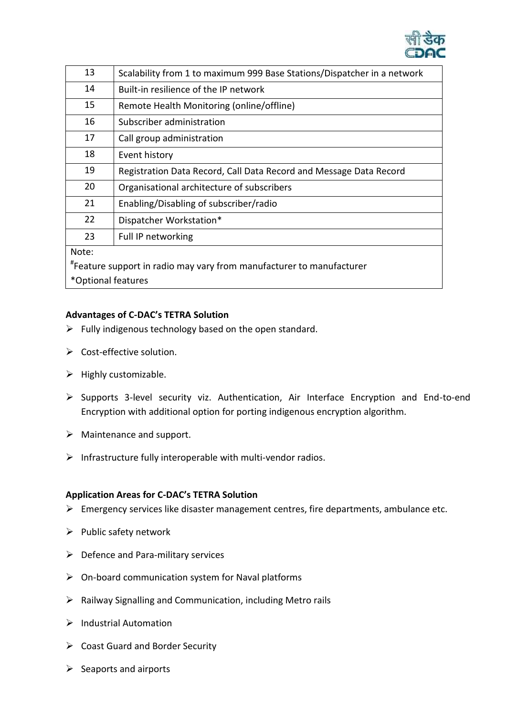

| 13                                                                   | Scalability from 1 to maximum 999 Base Stations/Dispatcher in a network |  |
|----------------------------------------------------------------------|-------------------------------------------------------------------------|--|
| 14                                                                   | Built-in resilience of the IP network                                   |  |
| 15                                                                   | Remote Health Monitoring (online/offline)                               |  |
| 16                                                                   | Subscriber administration                                               |  |
| 17                                                                   | Call group administration                                               |  |
| 18                                                                   | Event history                                                           |  |
| 19                                                                   | Registration Data Record, Call Data Record and Message Data Record      |  |
| 20                                                                   | Organisational architecture of subscribers                              |  |
| 21                                                                   | Enabling/Disabling of subscriber/radio                                  |  |
| 22                                                                   | Dispatcher Workstation*                                                 |  |
| 23                                                                   | Full IP networking                                                      |  |
| Note:                                                                |                                                                         |  |
| "Feature support in radio may vary from manufacturer to manufacturer |                                                                         |  |
| *Optional features                                                   |                                                                         |  |

# **Advantages of C-DAC's TETRA Solution**

- $\triangleright$  Fully indigenous technology based on the open standard.
- ▶ Cost-effective solution.
- $\triangleright$  Highly customizable.
- Supports 3-level security viz. Authentication, Air Interface Encryption and End-to-end Encryption with additional option for porting indigenous encryption algorithm.
- $\triangleright$  Maintenance and support.
- $\triangleright$  Infrastructure fully interoperable with multi-vendor radios.

## **Application Areas for C-DAC's TETRA Solution**

- $\triangleright$  Emergency services like disaster management centres, fire departments, ambulance etc.
- $\triangleright$  Public safety network
- $\triangleright$  Defence and Para-military services
- $\triangleright$  On-board communication system for Naval platforms
- $\triangleright$  Railway Signalling and Communication, including Metro rails
- $\triangleright$  Industrial Automation
- $\triangleright$  Coast Guard and Border Security
- $\triangleright$  Seaports and airports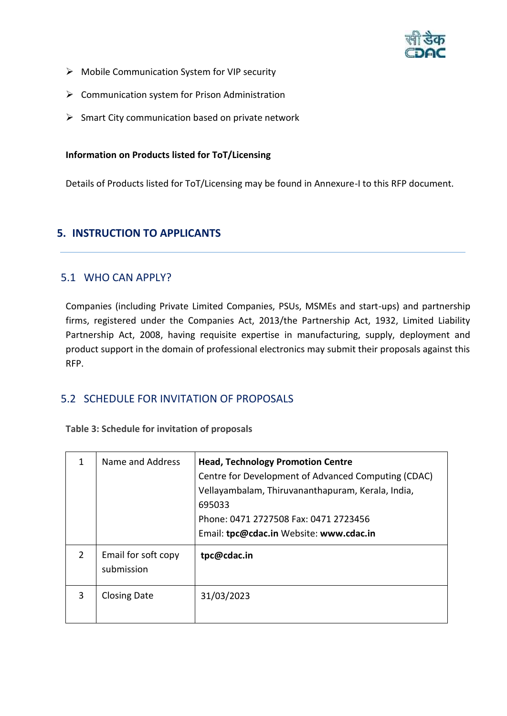

- $\triangleright$  Mobile Communication System for VIP security
- $\triangleright$  Communication system for Prison Administration
- $\triangleright$  Smart City communication based on private network

## **Information on Products listed for ToT/Licensing**

Details of Products listed for ToT/Licensing may be found in Annexure-I to this RFP document.

# <span id="page-8-0"></span>**5. INSTRUCTION TO APPLICANTS**

# <span id="page-8-1"></span>5.1 WHO CAN APPLY?

Companies (including Private Limited Companies, PSUs, MSMEs and start-ups) and partnership firms, registered under the Companies Act, 2013/the Partnership Act, 1932, Limited Liability Partnership Act, 2008, having requisite expertise in manufacturing, supply, deployment and product support in the domain of professional electronics may submit their proposals against this RFP.

# <span id="page-8-2"></span>5.2 SCHEDULE FOR INVITATION OF PROPOSALS

**Table 3: Schedule for invitation of proposals**

|               | Name and Address                  | <b>Head, Technology Promotion Centre</b><br>Centre for Development of Advanced Computing (CDAC)<br>Vellayambalam, Thiruvananthapuram, Kerala, India,<br>695033<br>Phone: 0471 2727508 Fax: 0471 2723456<br>Email: tpc@cdac.in Website: www.cdac.in |
|---------------|-----------------------------------|----------------------------------------------------------------------------------------------------------------------------------------------------------------------------------------------------------------------------------------------------|
| $\mathcal{P}$ | Email for soft copy<br>submission | tpc@cdac.in                                                                                                                                                                                                                                        |
| 3             | <b>Closing Date</b>               | 31/03/2023                                                                                                                                                                                                                                         |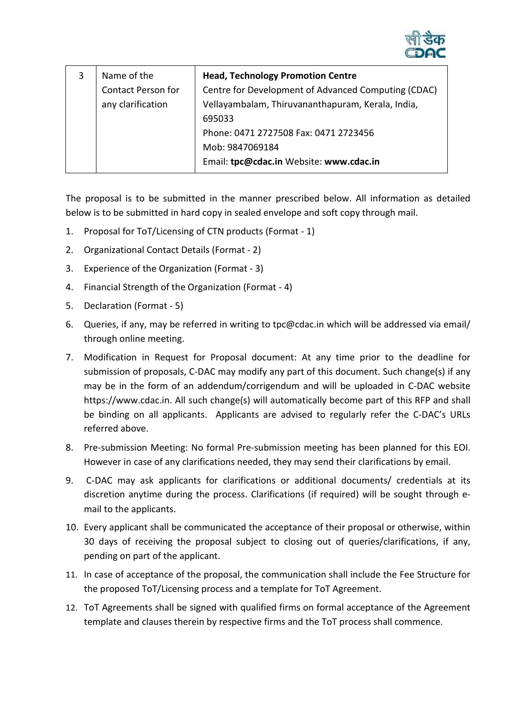

| Name of the               | <b>Head, Technology Promotion Centre</b>            |
|---------------------------|-----------------------------------------------------|
| <b>Contact Person for</b> | Centre for Development of Advanced Computing (CDAC) |
| any clarification         | Vellayambalam, Thiruvananthapuram, Kerala, India,   |
|                           | 695033                                              |
|                           | Phone: 0471 2727508 Fax: 0471 2723456               |
|                           | Mob: 9847069184                                     |
|                           | Email: tpc@cdac.in Website: www.cdac.in             |

The proposal is to be submitted in the manner prescribed below. All information as detailed below is to be submitted in hard copy in sealed envelope and soft copy through mail.

- 1. Proposal for ToT/Licensing of CTN products (Format 1)
- 2. Organizational Contact Details (Format 2)
- 3. Experience of the Organization (Format 3)
- 4. Financial Strength of the Organization (Format 4)
- 5. Declaration (Format 5)
- 6. Queries, if any, may be referred in writing to tpc@cdac.in which will be addressed via email/ through online meeting.
- 7. Modification in Request for Proposal document: At any time prior to the deadline for submission of proposals, C-DAC may modify any part of this document. Such change(s) if any may be in the form of an addendum/corrigendum and will be uploaded in C-DAC website https://www.cdac.in. All such change(s) will automatically become part of this RFP and shall be binding on all applicants. Applicants are advised to regularly refer the C-DAC's URLs referred above.
- 8. Pre-submission Meeting: No formal Pre-submission meeting has been planned for this EOI. However in case of any clarifications needed, they may send their clarifications by email.
- 9. C-DAC may ask applicants for clarifications or additional documents/ credentials at its discretion anytime during the process. Clarifications (if required) will be sought through email to the applicants.
- 10. Every applicant shall be communicated the acceptance of their proposal or otherwise, within 30 days of receiving the proposal subject to closing out of queries/clarifications, if any, pending on part of the applicant.
- 11. In case of acceptance of the proposal, the communication shall include the Fee Structure for the proposed ToT/Licensing process and a template for ToT Agreement.
- 12. ToT Agreements shall be signed with qualified firms on formal acceptance of the Agreement template and clauses therein by respective firms and the ToT process shall commence.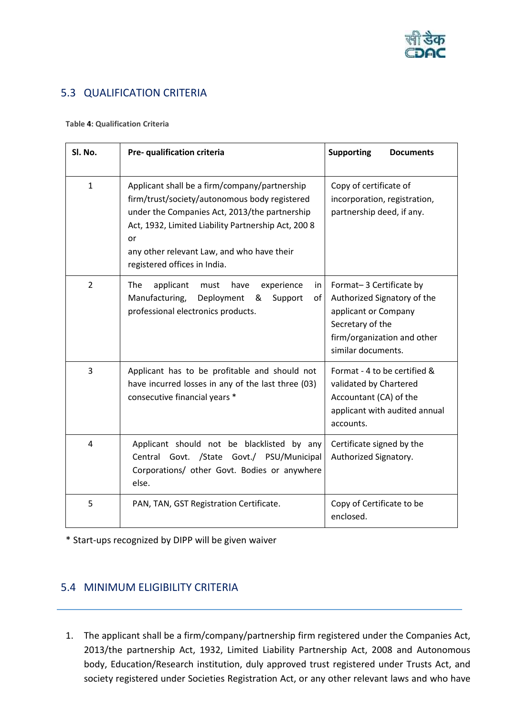

# <span id="page-10-0"></span>5.3 QUALIFICATION CRITERIA

#### **Table 4: Qualification Criteria**

| Sl. No.        | Pre- qualification criteria                                                                                                                                                                                                                                                                | <b>Supporting</b><br><b>Documents</b>                                                                                                                   |
|----------------|--------------------------------------------------------------------------------------------------------------------------------------------------------------------------------------------------------------------------------------------------------------------------------------------|---------------------------------------------------------------------------------------------------------------------------------------------------------|
| $\mathbf{1}$   | Applicant shall be a firm/company/partnership<br>firm/trust/society/autonomous body registered<br>under the Companies Act, 2013/the partnership<br>Act, 1932, Limited Liability Partnership Act, 200 8<br>or<br>any other relevant Law, and who have their<br>registered offices in India. | Copy of certificate of<br>incorporation, registration,<br>partnership deed, if any.                                                                     |
| $\overline{2}$ | applicant<br>The<br>must<br>have<br>experience<br>in<br>Manufacturing,<br>Deployment<br>&<br>Support<br>οf<br>professional electronics products.                                                                                                                                           | Format-3 Certificate by<br>Authorized Signatory of the<br>applicant or Company<br>Secretary of the<br>firm/organization and other<br>similar documents. |
| $\overline{3}$ | Applicant has to be profitable and should not<br>have incurred losses in any of the last three (03)<br>consecutive financial years *                                                                                                                                                       | Format - 4 to be certified &<br>validated by Chartered<br>Accountant (CA) of the<br>applicant with audited annual<br>accounts.                          |
| $\overline{4}$ | Applicant should not be blacklisted by any<br>Central Govt. /State Govt./ PSU/Municipal<br>Corporations/ other Govt. Bodies or anywhere<br>else.                                                                                                                                           | Certificate signed by the<br>Authorized Signatory.                                                                                                      |
| 5              | PAN, TAN, GST Registration Certificate.                                                                                                                                                                                                                                                    | Copy of Certificate to be<br>enclosed.                                                                                                                  |

\* Start-ups recognized by DIPP will be given waiver

# <span id="page-10-1"></span>5.4 MINIMUM ELIGIBILITY CRITERIA

1. The applicant shall be a firm/company/partnership firm registered under the Companies Act, 2013/the partnership Act, 1932, Limited Liability Partnership Act, 2008 and Autonomous body, Education/Research institution, duly approved trust registered under Trusts Act, and society registered under Societies Registration Act, or any other relevant laws and who have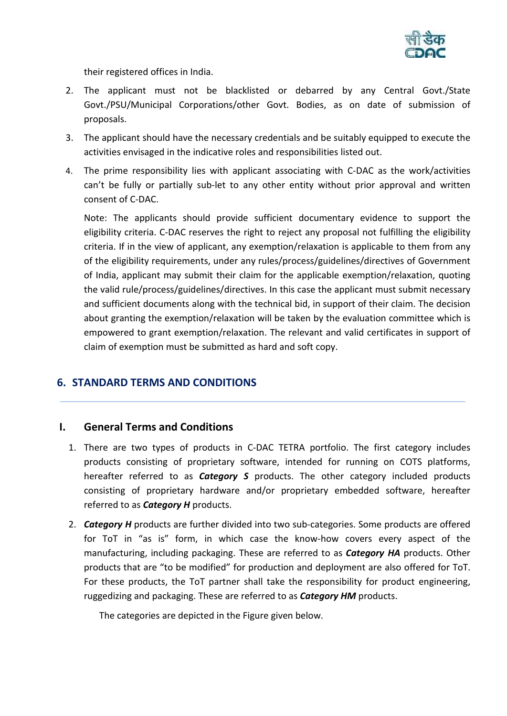

their registered offices in India.

- 2. The applicant must not be blacklisted or debarred by any Central Govt./State Govt./PSU/Municipal Corporations/other Govt. Bodies, as on date of submission of proposals.
- 3. The applicant should have the necessary credentials and be suitably equipped to execute the activities envisaged in the indicative roles and responsibilities listed out.
- 4. The prime responsibility lies with applicant associating with C-DAC as the work/activities can't be fully or partially sub-let to any other entity without prior approval and written consent of C-DAC.

Note: The applicants should provide sufficient documentary evidence to support the eligibility criteria. C-DAC reserves the right to reject any proposal not fulfilling the eligibility criteria. If in the view of applicant, any exemption/relaxation is applicable to them from any of the eligibility requirements, under any rules/process/guidelines/directives of Government of India, applicant may submit their claim for the applicable exemption/relaxation, quoting the valid rule/process/guidelines/directives. In this case the applicant must submit necessary and sufficient documents along with the technical bid, in support of their claim. The decision about granting the exemption/relaxation will be taken by the evaluation committee which is empowered to grant exemption/relaxation. The relevant and valid certificates in support of claim of exemption must be submitted as hard and soft copy.

# <span id="page-11-0"></span>**6. STANDARD TERMS AND CONDITIONS**

# **I. General Terms and Conditions**

- 1. There are two types of products in C-DAC TETRA portfolio. The first category includes products consisting of proprietary software, intended for running on COTS platforms, hereafter referred to as *Category S* products. The other category included products consisting of proprietary hardware and/or proprietary embedded software, hereafter referred to as *Category H* products.
- 2. *Category H* products are further divided into two sub-categories. Some products are offered for ToT in "as is" form, in which case the know-how covers every aspect of the manufacturing, including packaging. These are referred to as *Category HA* products. Other products that are "to be modified" for production and deployment are also offered for ToT. For these products, the ToT partner shall take the responsibility for product engineering, ruggedizing and packaging. These are referred to as *Category HM* products.

The categories are depicted in the [Figure](#page-12-0) given below.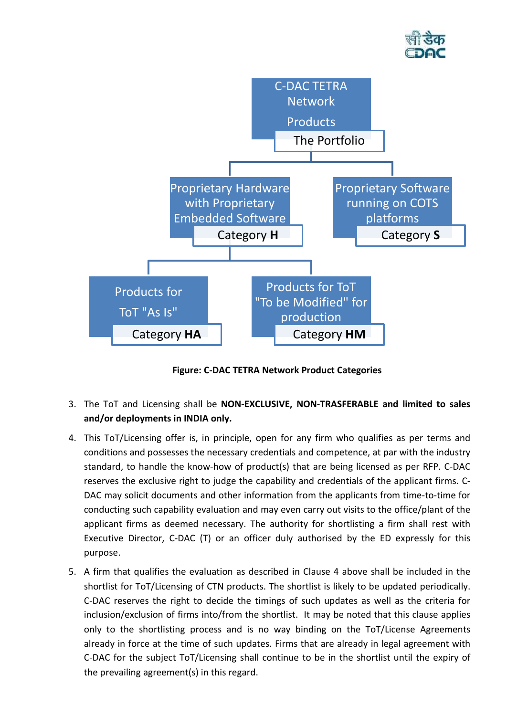



**Figure: C-DAC TETRA Network Product Categories**

- <span id="page-12-0"></span>3. The ToT and Licensing shall be **NON-EXCLUSIVE, NON-TRASFERABLE and limited to sales and/or deployments in INDIA only.**
- 4. This ToT/Licensing offer is, in principle, open for any firm who qualifies as per terms and conditions and possesses the necessary credentials and competence, at par with the industry standard, to handle the know-how of product(s) that are being licensed as per RFP. C-DAC reserves the exclusive right to judge the capability and credentials of the applicant firms. C-DAC may solicit documents and other information from the applicants from time-to-time for conducting such capability evaluation and may even carry out visits to the office/plant of the applicant firms as deemed necessary. The authority for shortlisting a firm shall rest with Executive Director, C-DAC (T) or an officer duly authorised by the ED expressly for this purpose.
- 5. A firm that qualifies the evaluation as described in Clause 4 above shall be included in the shortlist for ToT/Licensing of CTN products. The shortlist is likely to be updated periodically. C-DAC reserves the right to decide the timings of such updates as well as the criteria for inclusion/exclusion of firms into/from the shortlist. It may be noted that this clause applies only to the shortlisting process and is no way binding on the ToT/License Agreements already in force at the time of such updates. Firms that are already in legal agreement with C-DAC for the subject ToT/Licensing shall continue to be in the shortlist until the expiry of the prevailing agreement(s) in this regard.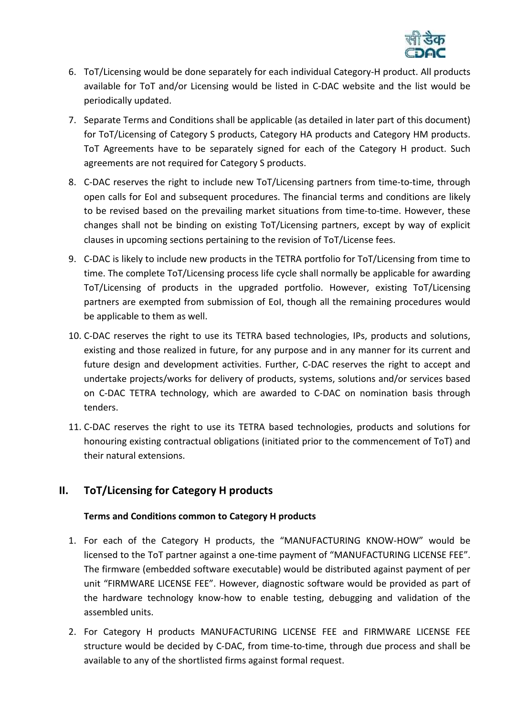

- 6. ToT/Licensing would be done separately for each individual Category-H product. All products available for ToT and/or Licensing would be listed in C-DAC website and the list would be periodically updated.
- 7. Separate Terms and Conditions shall be applicable (as detailed in later part of this document) for ToT/Licensing of Category S products, Category HA products and Category HM products. ToT Agreements have to be separately signed for each of the Category H product. Such agreements are not required for Category S products.
- 8. C-DAC reserves the right to include new ToT/Licensing partners from time-to-time, through open calls for EoI and subsequent procedures. The financial terms and conditions are likely to be revised based on the prevailing market situations from time-to-time. However, these changes shall not be binding on existing ToT/Licensing partners, except by way of explicit clauses in upcoming sections pertaining to the revision of ToT/License fees.
- 9. C-DAC is likely to include new products in the TETRA portfolio for ToT/Licensing from time to time. The complete ToT/Licensing process life cycle shall normally be applicable for awarding ToT/Licensing of products in the upgraded portfolio. However, existing ToT/Licensing partners are exempted from submission of EoI, though all the remaining procedures would be applicable to them as well.
- 10. C-DAC reserves the right to use its TETRA based technologies, IPs, products and solutions, existing and those realized in future, for any purpose and in any manner for its current and future design and development activities. Further, C-DAC reserves the right to accept and undertake projects/works for delivery of products, systems, solutions and/or services based on C-DAC TETRA technology, which are awarded to C-DAC on nomination basis through tenders.
- 11. C-DAC reserves the right to use its TETRA based technologies, products and solutions for honouring existing contractual obligations (initiated prior to the commencement of ToT) and their natural extensions.

# **II. ToT/Licensing for Category H products**

# **Terms and Conditions common to Category H products**

- 1. For each of the Category H products, the "MANUFACTURING KNOW-HOW" would be licensed to the ToT partner against a one-time payment of "MANUFACTURING LICENSE FEE". The firmware (embedded software executable) would be distributed against payment of per unit "FIRMWARE LICENSE FEE". However, diagnostic software would be provided as part of the hardware technology know-how to enable testing, debugging and validation of the assembled units.
- 2. For Category H products MANUFACTURING LICENSE FEE and FIRMWARE LICENSE FEE structure would be decided by C-DAC, from time-to-time, through due process and shall be available to any of the shortlisted firms against formal request.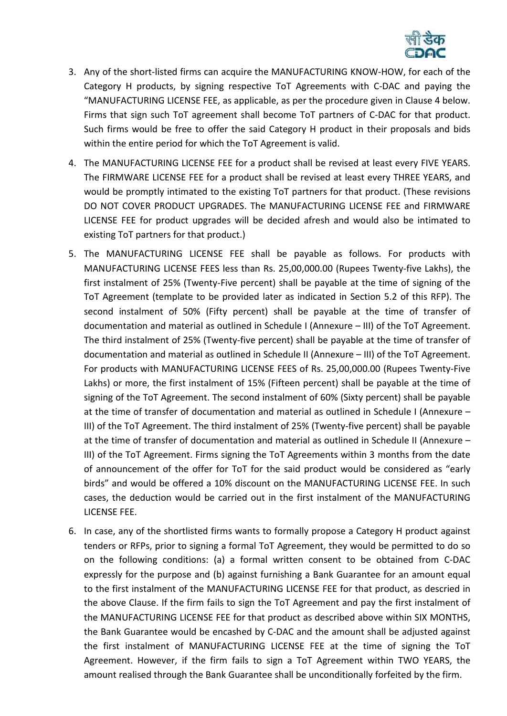

- 3. Any of the short-listed firms can acquire the MANUFACTURING KNOW-HOW, for each of the Category H products, by signing respective ToT Agreements with C-DAC and paying the "MANUFACTURING LICENSE FEE, as applicable, as per the procedure given in Clause 4 below. Firms that sign such ToT agreement shall become ToT partners of C-DAC for that product. Such firms would be free to offer the said Category H product in their proposals and bids within the entire period for which the ToT Agreement is valid.
- 4. The MANUFACTURING LICENSE FEE for a product shall be revised at least every FIVE YEARS. The FIRMWARE LICENSE FEE for a product shall be revised at least every THREE YEARS, and would be promptly intimated to the existing ToT partners for that product. (These revisions DO NOT COVER PRODUCT UPGRADES. The MANUFACTURING LICENSE FEE and FIRMWARE LICENSE FEE for product upgrades will be decided afresh and would also be intimated to existing ToT partners for that product.)
- 5. The MANUFACTURING LICENSE FEE shall be payable as follows. For products with MANUFACTURING LICENSE FEES less than Rs. 25,00,000.00 (Rupees Twenty-five Lakhs), the first instalment of 25% (Twenty-Five percent) shall be payable at the time of signing of the ToT Agreement (template to be provided later as indicated in Section 5.2 of this RFP). The second instalment of 50% (Fifty percent) shall be payable at the time of transfer of documentation and material as outlined in Schedule I (Annexure – III) of the ToT Agreement. The third instalment of 25% (Twenty-five percent) shall be payable at the time of transfer of documentation and material as outlined in Schedule II (Annexure – III) of the ToT Agreement. For products with MANUFACTURING LICENSE FEES of Rs. 25,00,000.00 (Rupees Twenty-Five Lakhs) or more, the first instalment of 15% (Fifteen percent) shall be payable at the time of signing of the ToT Agreement. The second instalment of 60% (Sixty percent) shall be payable at the time of transfer of documentation and material as outlined in Schedule I (Annexure – III) of the ToT Agreement. The third instalment of 25% (Twenty-five percent) shall be payable at the time of transfer of documentation and material as outlined in Schedule II (Annexure – III) of the ToT Agreement. Firms signing the ToT Agreements within 3 months from the date of announcement of the offer for ToT for the said product would be considered as "early birds" and would be offered a 10% discount on the MANUFACTURING LICENSE FEE. In such cases, the deduction would be carried out in the first instalment of the MANUFACTURING LICENSE FEE.
- 6. In case, any of the shortlisted firms wants to formally propose a Category H product against tenders or RFPs, prior to signing a formal ToT Agreement, they would be permitted to do so on the following conditions: (a) a formal written consent to be obtained from C-DAC expressly for the purpose and (b) against furnishing a Bank Guarantee for an amount equal to the first instalment of the MANUFACTURING LICENSE FEE for that product, as descried in the above Clause. If the firm fails to sign the ToT Agreement and pay the first instalment of the MANUFACTURING LICENSE FEE for that product as described above within SIX MONTHS, the Bank Guarantee would be encashed by C-DAC and the amount shall be adjusted against the first instalment of MANUFACTURING LICENSE FEE at the time of signing the ToT Agreement. However, if the firm fails to sign a ToT Agreement within TWO YEARS, the amount realised through the Bank Guarantee shall be unconditionally forfeited by the firm.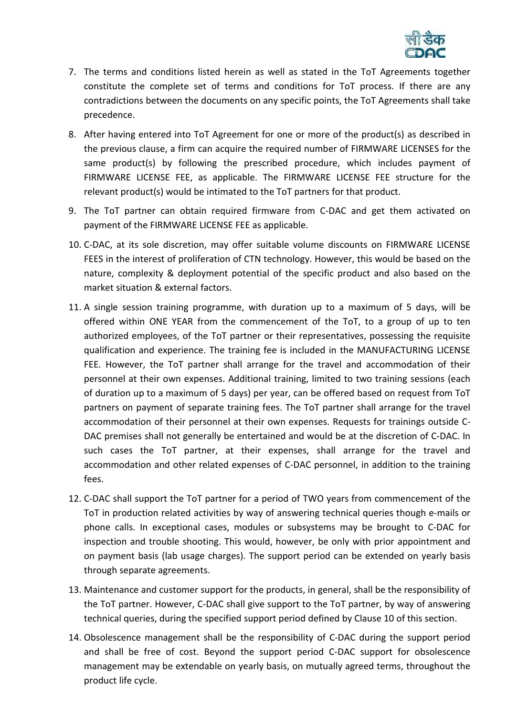

- 7. The terms and conditions listed herein as well as stated in the ToT Agreements together constitute the complete set of terms and conditions for ToT process. If there are any contradictions between the documents on any specific points, the ToT Agreements shall take precedence.
- 8. After having entered into ToT Agreement for one or more of the product(s) as described in the previous clause, a firm can acquire the required number of FIRMWARE LICENSES for the same product(s) by following the prescribed procedure, which includes payment of FIRMWARE LICENSE FEE, as applicable. The FIRMWARE LICENSE FEE structure for the relevant product(s) would be intimated to the ToT partners for that product.
- 9. The ToT partner can obtain required firmware from C-DAC and get them activated on payment of the FIRMWARE LICENSE FEE as applicable.
- 10. C-DAC, at its sole discretion, may offer suitable volume discounts on FIRMWARE LICENSE FEES in the interest of proliferation of CTN technology. However, this would be based on the nature, complexity & deployment potential of the specific product and also based on the market situation & external factors.
- 11. A single session training programme, with duration up to a maximum of 5 days, will be offered within ONE YEAR from the commencement of the ToT, to a group of up to ten authorized employees, of the ToT partner or their representatives, possessing the requisite qualification and experience. The training fee is included in the MANUFACTURING LICENSE FEE. However, the ToT partner shall arrange for the travel and accommodation of their personnel at their own expenses. Additional training, limited to two training sessions (each of duration up to a maximum of 5 days) per year, can be offered based on request from ToT partners on payment of separate training fees. The ToT partner shall arrange for the travel accommodation of their personnel at their own expenses. Requests for trainings outside C-DAC premises shall not generally be entertained and would be at the discretion of C-DAC. In such cases the ToT partner, at their expenses, shall arrange for the travel and accommodation and other related expenses of C-DAC personnel, in addition to the training fees.
- 12. C-DAC shall support the ToT partner for a period of TWO years from commencement of the ToT in production related activities by way of answering technical queries though e-mails or phone calls. In exceptional cases, modules or subsystems may be brought to C-DAC for inspection and trouble shooting. This would, however, be only with prior appointment and on payment basis (lab usage charges). The support period can be extended on yearly basis through separate agreements.
- 13. Maintenance and customer support for the products, in general, shall be the responsibility of the ToT partner. However, C-DAC shall give support to the ToT partner, by way of answering technical queries, during the specified support period defined by Clause 10 of this section.
- 14. Obsolescence management shall be the responsibility of C-DAC during the support period and shall be free of cost. Beyond the support period C-DAC support for obsolescence management may be extendable on yearly basis, on mutually agreed terms, throughout the product life cycle.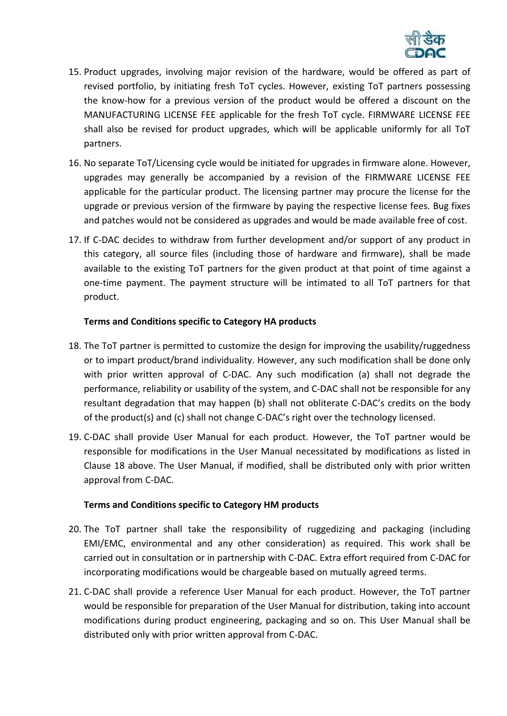

- 15. Product upgrades, involving major revision of the hardware, would be offered as part of revised portfolio, by initiating fresh ToT cycles. However, existing ToT partners possessing the know-how for a previous version of the product would be offered a discount on the MANUFACTURING LICENSE FEE applicable for the fresh ToT cycle. FIRMWARE LICENSE FEE shall also be revised for product upgrades, which will be applicable uniformly for all ToT partners.
- 16. No separate ToT/Licensing cycle would be initiated for upgrades in firmware alone. However, upgrades may generally be accompanied by a revision of the FIRMWARE LICENSE FEE applicable for the particular product. The licensing partner may procure the license for the upgrade or previous version of the firmware by paying the respective license fees. Bug fixes and patches would not be considered as upgrades and would be made available free of cost.
- 17. If C-DAC decides to withdraw from further development and/or support of any product in this category, all source files (including those of hardware and firmware), shall be made available to the existing ToT partners for the given product at that point of time against a one-time payment. The payment structure will be intimated to all ToT partners for that product.

# **Terms and Conditions specific to Category HA products**

- 18. The ToT partner is permitted to customize the design for improving the usability/ruggedness or to impart product/brand individuality. However, any such modification shall be done only with prior written approval of C-DAC. Any such modification (a) shall not degrade the performance, reliability or usability of the system, and C-DAC shall not be responsible for any resultant degradation that may happen (b) shall not obliterate C-DAC's credits on the body of the product(s) and (c) shall not change C-DAC's right over the technology licensed.
- 19. C-DAC shall provide User Manual for each product. However, the ToT partner would be responsible for modifications in the User Manual necessitated by modifications as listed in Clause 18 above. The User Manual, if modified, shall be distributed only with prior written approval from C-DAC.

# **Terms and Conditions specific to Category HM products**

- 20. The ToT partner shall take the responsibility of ruggedizing and packaging (including EMI/EMC, environmental and any other consideration) as required. This work shall be carried out in consultation or in partnership with C-DAC. Extra effort required from C-DAC for incorporating modifications would be chargeable based on mutually agreed terms.
- 21. C-DAC shall provide a reference User Manual for each product. However, the ToT partner would be responsible for preparation of the User Manual for distribution, taking into account modifications during product engineering, packaging and so on. This User Manual shall be distributed only with prior written approval from C-DAC.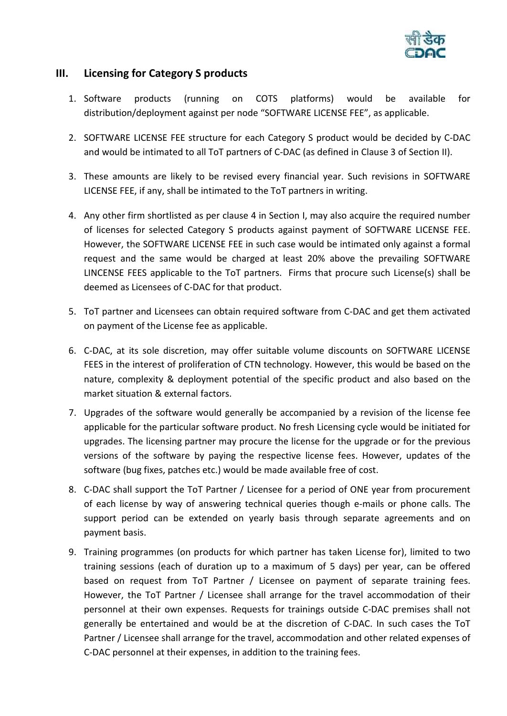

# **III. Licensing for Category S products**

- 1. Software products (running on COTS platforms) would be available for distribution/deployment against per node "SOFTWARE LICENSE FEE", as applicable.
- 2. SOFTWARE LICENSE FEE structure for each Category S product would be decided by C-DAC and would be intimated to all ToT partners of C-DAC (as defined in Clause 3 of Section II).
- 3. These amounts are likely to be revised every financial year. Such revisions in SOFTWARE LICENSE FEE, if any, shall be intimated to the ToT partners in writing.
- 4. Any other firm shortlisted as per clause 4 in Section I, may also acquire the required number of licenses for selected Category S products against payment of SOFTWARE LICENSE FEE. However, the SOFTWARE LICENSE FEE in such case would be intimated only against a formal request and the same would be charged at least 20% above the prevailing SOFTWARE LINCENSE FEES applicable to the ToT partners. Firms that procure such License(s) shall be deemed as Licensees of C-DAC for that product.
- 5. ToT partner and Licensees can obtain required software from C-DAC and get them activated on payment of the License fee as applicable.
- 6. C-DAC, at its sole discretion, may offer suitable volume discounts on SOFTWARE LICENSE FEES in the interest of proliferation of CTN technology. However, this would be based on the nature, complexity & deployment potential of the specific product and also based on the market situation & external factors.
- 7. Upgrades of the software would generally be accompanied by a revision of the license fee applicable for the particular software product. No fresh Licensing cycle would be initiated for upgrades. The licensing partner may procure the license for the upgrade or for the previous versions of the software by paying the respective license fees. However, updates of the software (bug fixes, patches etc.) would be made available free of cost.
- 8. C-DAC shall support the ToT Partner / Licensee for a period of ONE year from procurement of each license by way of answering technical queries though e-mails or phone calls. The support period can be extended on yearly basis through separate agreements and on payment basis.
- 9. Training programmes (on products for which partner has taken License for), limited to two training sessions (each of duration up to a maximum of 5 days) per year, can be offered based on request from ToT Partner / Licensee on payment of separate training fees. However, the ToT Partner / Licensee shall arrange for the travel accommodation of their personnel at their own expenses. Requests for trainings outside C-DAC premises shall not generally be entertained and would be at the discretion of C-DAC. In such cases the ToT Partner / Licensee shall arrange for the travel, accommodation and other related expenses of C-DAC personnel at their expenses, in addition to the training fees.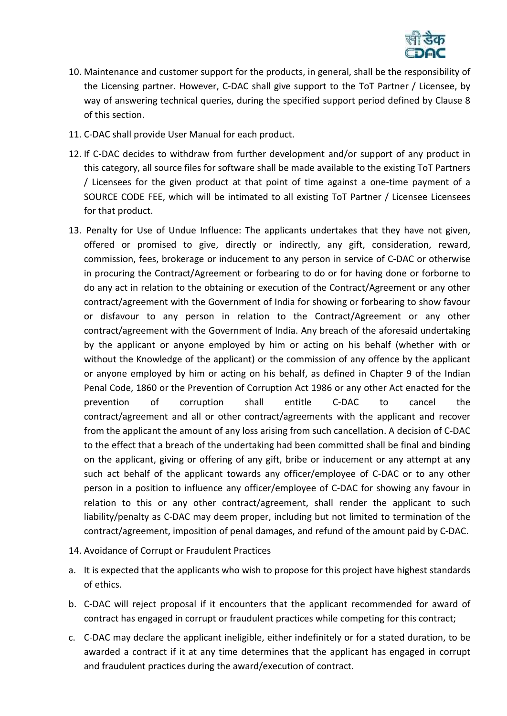

- 10. Maintenance and customer support for the products, in general, shall be the responsibility of the Licensing partner. However, C-DAC shall give support to the ToT Partner / Licensee, by way of answering technical queries, during the specified support period defined by Clause 8 of this section.
- 11. C-DAC shall provide User Manual for each product.
- 12. If C-DAC decides to withdraw from further development and/or support of any product in this category, all source files for software shall be made available to the existing ToT Partners / Licensees for the given product at that point of time against a one-time payment of a SOURCE CODE FEE, which will be intimated to all existing ToT Partner / Licensee Licensees for that product.
- 13. Penalty for Use of Undue Influence: The applicants undertakes that they have not given, offered or promised to give, directly or indirectly, any gift, consideration, reward, commission, fees, brokerage or inducement to any person in service of C-DAC or otherwise in procuring the Contract/Agreement or forbearing to do or for having done or forborne to do any act in relation to the obtaining or execution of the Contract/Agreement or any other contract/agreement with the Government of India for showing or forbearing to show favour or disfavour to any person in relation to the Contract/Agreement or any other contract/agreement with the Government of India. Any breach of the aforesaid undertaking by the applicant or anyone employed by him or acting on his behalf (whether with or without the Knowledge of the applicant) or the commission of any offence by the applicant or anyone employed by him or acting on his behalf, as defined in Chapter 9 of the Indian Penal Code, 1860 or the Prevention of Corruption Act 1986 or any other Act enacted for the prevention of corruption shall entitle C-DAC to cancel the contract/agreement and all or other contract/agreements with the applicant and recover from the applicant the amount of any loss arising from such cancellation. A decision of C-DAC to the effect that a breach of the undertaking had been committed shall be final and binding on the applicant, giving or offering of any gift, bribe or inducement or any attempt at any such act behalf of the applicant towards any officer/employee of C-DAC or to any other person in a position to influence any officer/employee of C-DAC for showing any favour in relation to this or any other contract/agreement, shall render the applicant to such liability/penalty as C-DAC may deem proper, including but not limited to termination of the contract/agreement, imposition of penal damages, and refund of the amount paid by C-DAC.
- 14. Avoidance of Corrupt or Fraudulent Practices
- a. It is expected that the applicants who wish to propose for this project have highest standards of ethics.
- b. C-DAC will reject proposal if it encounters that the applicant recommended for award of contract has engaged in corrupt or fraudulent practices while competing for this contract;
- c. C-DAC may declare the applicant ineligible, either indefinitely or for a stated duration, to be awarded a contract if it at any time determines that the applicant has engaged in corrupt and fraudulent practices during the award/execution of contract.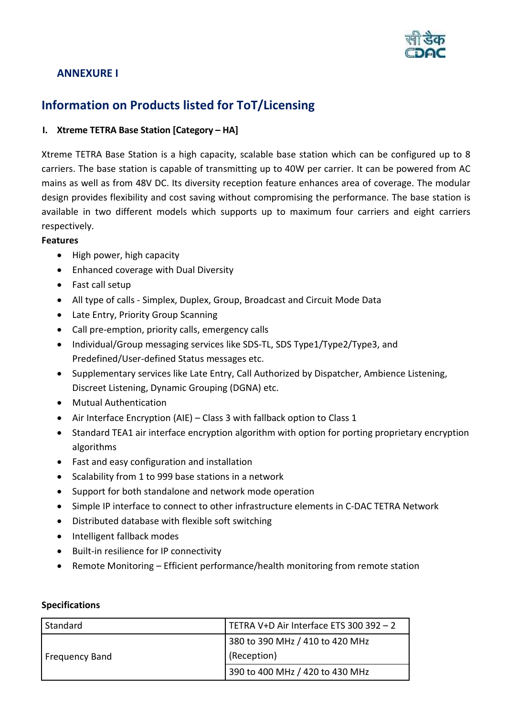

# <span id="page-19-0"></span>**ANNEXURE I**

# **Information on Products listed for ToT/Licensing**

# **I. Xtreme TETRA Base Station [Category – HA]**

Xtreme TETRA Base Station is a high capacity, scalable base station which can be configured up to 8 carriers. The base station is capable of transmitting up to 40W per carrier. It can be powered from AC mains as well as from 48V DC. Its diversity reception feature enhances area of coverage. The modular design provides flexibility and cost saving without compromising the performance. The base station is available in two different models which supports up to maximum four carriers and eight carriers respectively.

# **Features**

- High power, high capacity
- Enhanced coverage with Dual Diversity
- Fast call setup
- All type of calls Simplex, Duplex, Group, Broadcast and Circuit Mode Data
- Late Entry, Priority Group Scanning
- Call pre-emption, priority calls, emergency calls
- Individual/Group messaging services like SDS-TL, SDS Type1/Type2/Type3, and Predefined/User-defined Status messages etc.
- Supplementary services like Late Entry, Call Authorized by Dispatcher, Ambience Listening, Discreet Listening, Dynamic Grouping (DGNA) etc.
- Mutual Authentication
- Air Interface Encryption (AIE) Class 3 with fallback option to Class 1
- Standard TEA1 air interface encryption algorithm with option for porting proprietary encryption algorithms
- Fast and easy configuration and installation
- Scalability from 1 to 999 base stations in a network
- Support for both standalone and network mode operation
- Simple IP interface to connect to other infrastructure elements in C-DAC TETRA Network
- Distributed database with flexible soft switching
- Intelligent fallback modes
- Built-in resilience for IP connectivity
- Remote Monitoring Efficient performance/health monitoring from remote station

| Standard              | TETRA V+D Air Interface ETS 300 392 - 2 |
|-----------------------|-----------------------------------------|
|                       | 380 to 390 MHz / 410 to 420 MHz         |
| <b>Frequency Band</b> | (Reception)                             |
|                       | 390 to 400 MHz / 420 to 430 MHz         |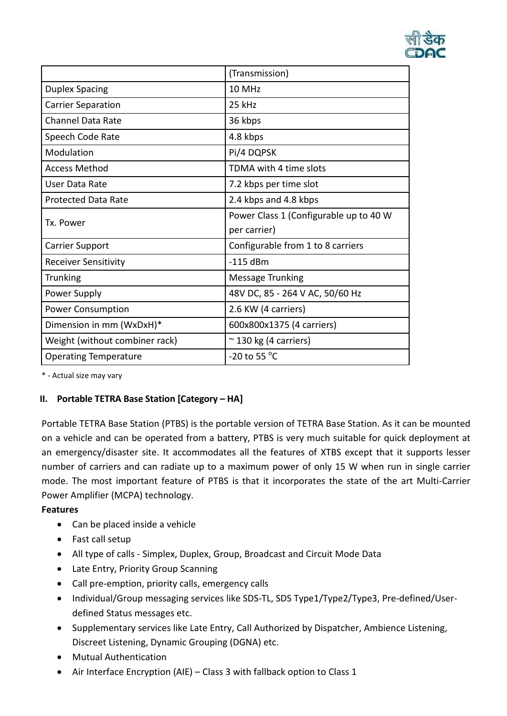

|                                | (Transmission)                         |
|--------------------------------|----------------------------------------|
| <b>Duplex Spacing</b>          | 10 MHz                                 |
| <b>Carrier Separation</b>      | 25 kHz                                 |
| Channel Data Rate              | 36 kbps                                |
| Speech Code Rate               | 4.8 kbps                               |
| Modulation                     | Pi/4 DQPSK                             |
| <b>Access Method</b>           | TDMA with 4 time slots                 |
| User Data Rate                 | 7.2 kbps per time slot                 |
| <b>Protected Data Rate</b>     | 2.4 kbps and 4.8 kbps                  |
| Tx. Power                      | Power Class 1 (Configurable up to 40 W |
|                                | per carrier)                           |
| <b>Carrier Support</b>         | Configurable from 1 to 8 carriers      |
| <b>Receiver Sensitivity</b>    | $-115$ dBm                             |
| <b>Trunking</b>                | <b>Message Trunking</b>                |
| Power Supply                   | 48V DC, 85 - 264 V AC, 50/60 Hz        |
| <b>Power Consumption</b>       | 2.6 KW (4 carriers)                    |
| Dimension in mm (WxDxH)*       | 600x800x1375 (4 carriers)              |
| Weight (without combiner rack) | $\approx$ 130 kg (4 carriers)          |
| <b>Operating Temperature</b>   | -20 to 55 $\degree$ C                  |

\* - Actual size may vary

# **II. Portable TETRA Base Station [Category – HA]**

Portable TETRA Base Station (PTBS) is the portable version of TETRA Base Station. As it can be mounted on a vehicle and can be operated from a battery, PTBS is very much suitable for quick deployment at an emergency/disaster site. It accommodates all the features of XTBS except that it supports lesser number of carriers and can radiate up to a maximum power of only 15 W when run in single carrier mode. The most important feature of PTBS is that it incorporates the state of the art Multi-Carrier Power Amplifier (MCPA) technology.

## **Features**

- Can be placed inside a vehicle
- Fast call setup
- All type of calls Simplex, Duplex, Group, Broadcast and Circuit Mode Data
- Late Entry, Priority Group Scanning
- Call pre-emption, priority calls, emergency calls
- Individual/Group messaging services like SDS-TL, SDS Type1/Type2/Type3, Pre-defined/Userdefined Status messages etc.
- Supplementary services like Late Entry, Call Authorized by Dispatcher, Ambience Listening, Discreet Listening, Dynamic Grouping (DGNA) etc.
- Mutual Authentication
- Air Interface Encryption (AIE) Class 3 with fallback option to Class 1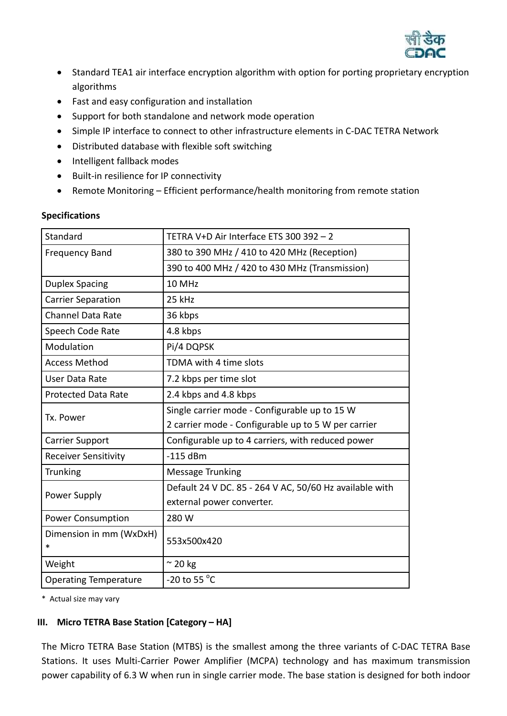

- Standard TEA1 air interface encryption algorithm with option for porting proprietary encryption algorithms
- Fast and easy configuration and installation
- Support for both standalone and network mode operation
- Simple IP interface to connect to other infrastructure elements in C-DAC TETRA Network
- Distributed database with flexible soft switching
- Intelligent fallback modes
- Built-in resilience for IP connectivity
- Remote Monitoring Efficient performance/health monitoring from remote station

| Standard                          | TETRA V+D Air Interface ETS 300 392 - 2                 |
|-----------------------------------|---------------------------------------------------------|
| <b>Frequency Band</b>             | 380 to 390 MHz / 410 to 420 MHz (Reception)             |
|                                   | 390 to 400 MHz / 420 to 430 MHz (Transmission)          |
| <b>Duplex Spacing</b>             | 10 MHz                                                  |
| <b>Carrier Separation</b>         | 25 kHz                                                  |
| <b>Channel Data Rate</b>          | 36 kbps                                                 |
| Speech Code Rate                  | 4.8 kbps                                                |
| Modulation                        | Pi/4 DQPSK                                              |
| <b>Access Method</b>              | TDMA with 4 time slots                                  |
| <b>User Data Rate</b>             | 7.2 kbps per time slot                                  |
| <b>Protected Data Rate</b>        | 2.4 kbps and 4.8 kbps                                   |
| Tx. Power                         | Single carrier mode - Configurable up to 15 W           |
|                                   | 2 carrier mode - Configurable up to 5 W per carrier     |
| <b>Carrier Support</b>            | Configurable up to 4 carriers, with reduced power       |
| <b>Receiver Sensitivity</b>       | $-115$ dBm                                              |
| Trunking                          | Message Trunking                                        |
| Power Supply                      | Default 24 V DC. 85 - 264 V AC, 50/60 Hz available with |
|                                   | external power converter.                               |
| <b>Power Consumption</b>          | 280 W                                                   |
| Dimension in mm (WxDxH)<br>$\ast$ | 553x500x420                                             |
| Weight                            | $\approx$ 20 kg                                         |
| <b>Operating Temperature</b>      | -20 to 55 $\degree$ C                                   |

# **Specifications**

\* Actual size may vary

# **III. Micro TETRA Base Station [Category – HA]**

The Micro TETRA Base Station (MTBS) is the smallest among the three variants of C-DAC TETRA Base Stations. It uses Multi-Carrier Power Amplifier (MCPA) technology and has maximum transmission power capability of 6.3 W when run in single carrier mode. The base station is designed for both indoor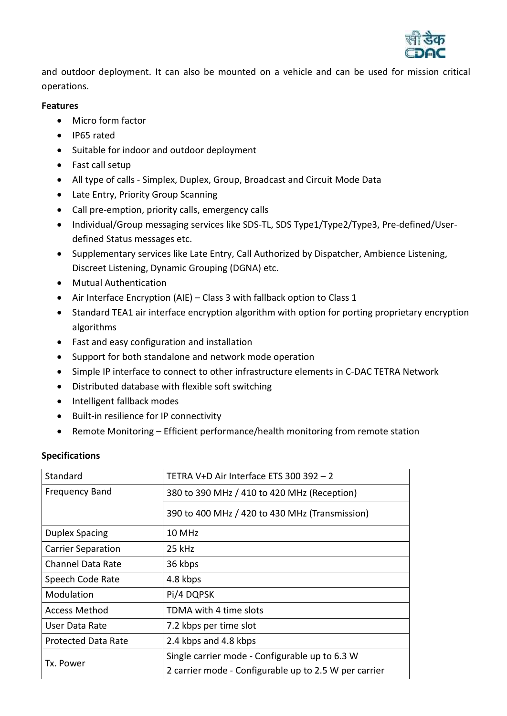

and outdoor deployment. It can also be mounted on a vehicle and can be used for mission critical operations.

## **Features**

- Micro form factor
- IP65 rated
- Suitable for indoor and outdoor deployment
- Fast call setup
- All type of calls Simplex, Duplex, Group, Broadcast and Circuit Mode Data
- Late Entry, Priority Group Scanning
- Call pre-emption, priority calls, emergency calls
- Individual/Group messaging services like SDS-TL, SDS Type1/Type2/Type3, Pre-defined/Userdefined Status messages etc.
- Supplementary services like Late Entry, Call Authorized by Dispatcher, Ambience Listening, Discreet Listening, Dynamic Grouping (DGNA) etc.
- Mutual Authentication
- Air Interface Encryption (AIE) Class 3 with fallback option to Class 1
- Standard TEA1 air interface encryption algorithm with option for porting proprietary encryption algorithms
- Fast and easy configuration and installation
- Support for both standalone and network mode operation
- Simple IP interface to connect to other infrastructure elements in C-DAC TETRA Network
- Distributed database with flexible soft switching
- Intelligent fallback modes
- Built-in resilience for IP connectivity
- Remote Monitoring Efficient performance/health monitoring from remote station

| Standard                   | TETRA V+D Air Interface ETS 300 392 - 2               |
|----------------------------|-------------------------------------------------------|
| <b>Frequency Band</b>      | 380 to 390 MHz / 410 to 420 MHz (Reception)           |
|                            | 390 to 400 MHz / 420 to 430 MHz (Transmission)        |
| <b>Duplex Spacing</b>      | 10 MHz                                                |
| <b>Carrier Separation</b>  | 25 kHz                                                |
| <b>Channel Data Rate</b>   | 36 kbps                                               |
| Speech Code Rate           | 4.8 kbps                                              |
| Modulation                 | Pi/4 DQPSK                                            |
| <b>Access Method</b>       | TDMA with 4 time slots                                |
| User Data Rate             | 7.2 kbps per time slot                                |
| <b>Protected Data Rate</b> | 2.4 kbps and 4.8 kbps                                 |
| Tx. Power                  | Single carrier mode - Configurable up to 6.3 W        |
|                            | 2 carrier mode - Configurable up to 2.5 W per carrier |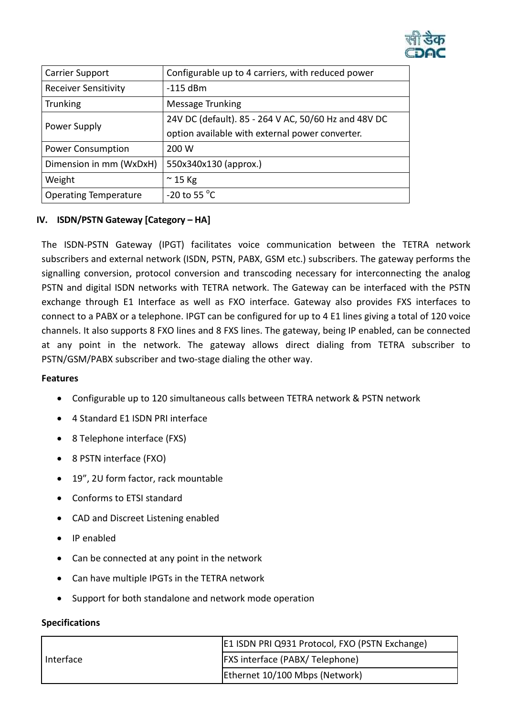

| <b>Carrier Support</b>       | Configurable up to 4 carriers, with reduced power    |
|------------------------------|------------------------------------------------------|
| <b>Receiver Sensitivity</b>  | $-115$ dBm                                           |
| <b>Trunking</b>              | Message Trunking                                     |
| Power Supply                 | 24V DC (default). 85 - 264 V AC, 50/60 Hz and 48V DC |
|                              | option available with external power converter.      |
| <b>Power Consumption</b>     | 200 W                                                |
| Dimension in mm (WxDxH)      | 550x340x130 (approx.)                                |
| Weight                       | $\approx$ 15 Kg                                      |
| <b>Operating Temperature</b> | -20 to 55 $\degree$ C                                |

# **IV. ISDN/PSTN Gateway [Category – HA]**

The ISDN-PSTN Gateway (IPGT) facilitates voice communication between the TETRA network subscribers and external network (ISDN, PSTN, PABX, GSM etc.) subscribers. The gateway performs the signalling conversion, protocol conversion and transcoding necessary for interconnecting the analog PSTN and digital ISDN networks with TETRA network. The Gateway can be interfaced with the PSTN exchange through E1 Interface as well as FXO interface. Gateway also provides FXS interfaces to connect to a PABX or a telephone. IPGT can be configured for up to 4 E1 lines giving a total of 120 voice channels. It also supports 8 FXO lines and 8 FXS lines. The gateway, being IP enabled, can be connected at any point in the network. The gateway allows direct dialing from TETRA subscriber to PSTN/GSM/PABX subscriber and two-stage dialing the other way.

## **Features**

- Configurable up to 120 simultaneous calls between TETRA network & PSTN network
- 4 Standard E1 ISDN PRI interface
- 8 Telephone interface (FXS)
- 8 PSTN interface (FXO)
- 19", 2U form factor, rack mountable
- Conforms to ETSI standard
- CAD and Discreet Listening enabled
- IP enabled
- Can be connected at any point in the network
- Can have multiple IPGTs in the TETRA network
- Support for both standalone and network mode operation

|           | E1 ISDN PRI Q931 Protocol, FXO (PSTN Exchange) |
|-----------|------------------------------------------------|
| Interface | <b>FXS</b> interface (PABX/Telephone)          |
|           | Ethernet 10/100 Mbps (Network)                 |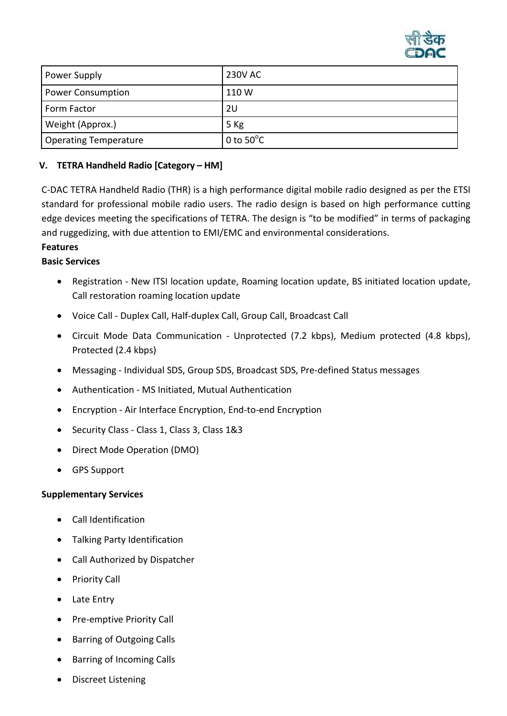

| Power Supply                 | <b>230V AC</b>      |
|------------------------------|---------------------|
| <b>Power Consumption</b>     | 110 W               |
| Form Factor                  | 2U                  |
| Weight (Approx.)             | 5 Kg                |
| <b>Operating Temperature</b> | 0 to $50^{\circ}$ C |

# **V. TETRA Handheld Radio [Category – HM]**

C-DAC TETRA Handheld Radio (THR) is a high performance digital mobile radio designed as per the ETSI standard for professional mobile radio users. The radio design is based on high performance cutting edge devices meeting the specifications of TETRA. The design is "to be modified" in terms of packaging and ruggedizing, with due attention to EMI/EMC and environmental considerations.

# **Features**

# **Basic Services**

- Registration New ITSI location update, Roaming location update, BS initiated location update, Call restoration roaming location update
- Voice Call Duplex Call, Half-duplex Call, Group Call, Broadcast Call
- Circuit Mode Data Communication Unprotected (7.2 kbps), Medium protected (4.8 kbps), Protected (2.4 kbps)
- Messaging Individual SDS, Group SDS, Broadcast SDS, Pre-defined Status messages
- Authentication MS Initiated, Mutual Authentication
- Encryption Air Interface Encryption, End-to-end Encryption
- Security Class Class 1, Class 3, Class 1&3
- Direct Mode Operation (DMO)
- GPS Support

## **Supplementary Services**

- Call Identification
- Talking Party Identification
- Call Authorized by Dispatcher
- Priority Call
- Late Entry
- Pre-emptive Priority Call
- Barring of Outgoing Calls
- Barring of Incoming Calls
- Discreet Listening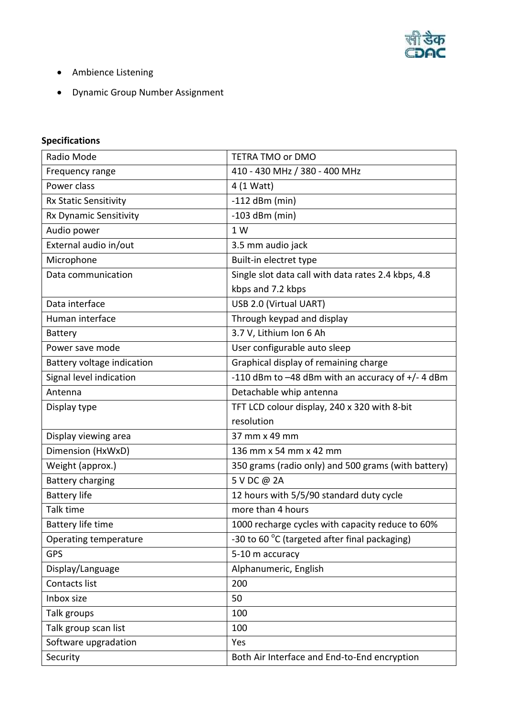

- Ambience Listening
- Dynamic Group Number Assignment

| Radio Mode                   | TETRA TMO or DMO                                    |
|------------------------------|-----------------------------------------------------|
| Frequency range              | 410 - 430 MHz / 380 - 400 MHz                       |
| Power class                  | 4 (1 Watt)                                          |
| <b>Rx Static Sensitivity</b> | $-112$ dBm (min)                                    |
| Rx Dynamic Sensitivity       | $-103$ dBm (min)                                    |
| Audio power                  | 1 W                                                 |
| External audio in/out        | 3.5 mm audio jack                                   |
| Microphone                   | Built-in electret type                              |
| Data communication           | Single slot data call with data rates 2.4 kbps, 4.8 |
|                              | kbps and 7.2 kbps                                   |
| Data interface               | USB 2.0 (Virtual UART)                              |
| Human interface              | Through keypad and display                          |
| <b>Battery</b>               | 3.7 V, Lithium Ion 6 Ah                             |
| Power save mode              | User configurable auto sleep                        |
| Battery voltage indication   | Graphical display of remaining charge               |
| Signal level indication      | -110 dBm to -48 dBm with an accuracy of +/-4 dBm    |
| Antenna                      | Detachable whip antenna                             |
| Display type                 | TFT LCD colour display, 240 x 320 with 8-bit        |
|                              | resolution                                          |
| Display viewing area         | 37 mm x 49 mm                                       |
| Dimension (HxWxD)            | 136 mm x 54 mm x 42 mm                              |
| Weight (approx.)             | 350 grams (radio only) and 500 grams (with battery) |
| <b>Battery charging</b>      | 5 V DC @ 2A                                         |
| <b>Battery life</b>          | 12 hours with 5/5/90 standard duty cycle            |
| Talk time                    | more than 4 hours                                   |
| Battery life time            | 1000 recharge cycles with capacity reduce to 60%    |
| Operating temperature        | -30 to 60 °C (targeted after final packaging)       |
| <b>GPS</b>                   | 5-10 m accuracy                                     |
| Display/Language             | Alphanumeric, English                               |
| Contacts list                | 200                                                 |
| Inbox size                   | 50                                                  |
| Talk groups                  | 100                                                 |
| Talk group scan list         | 100                                                 |
| Software upgradation         | Yes                                                 |
| Security                     | Both Air Interface and End-to-End encryption        |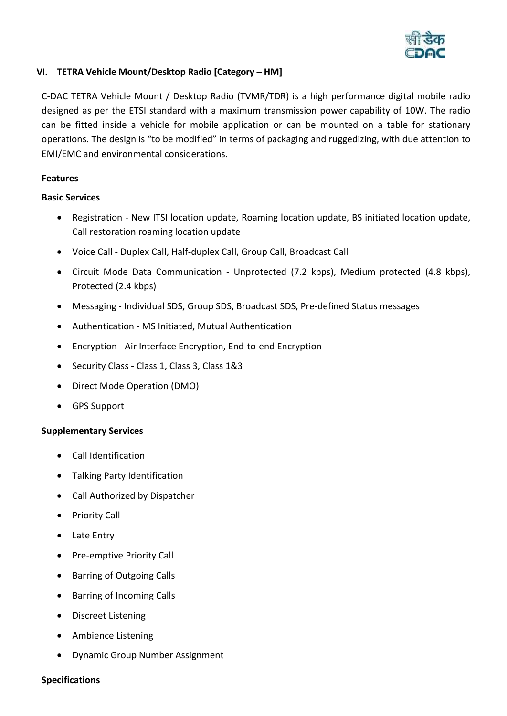

# **VI. TETRA Vehicle Mount/Desktop Radio [Category – HM]**

C-DAC TETRA Vehicle Mount / Desktop Radio (TVMR/TDR) is a high performance digital mobile radio designed as per the ETSI standard with a maximum transmission power capability of 10W. The radio can be fitted inside a vehicle for mobile application or can be mounted on a table for stationary operations. The design is "to be modified" in terms of packaging and ruggedizing, with due attention to EMI/EMC and environmental considerations.

# **Features**

## **Basic Services**

- Registration New ITSI location update, Roaming location update, BS initiated location update, Call restoration roaming location update
- Voice Call Duplex Call, Half-duplex Call, Group Call, Broadcast Call
- Circuit Mode Data Communication Unprotected (7.2 kbps), Medium protected (4.8 kbps), Protected (2.4 kbps)
- Messaging Individual SDS, Group SDS, Broadcast SDS, Pre-defined Status messages
- Authentication MS Initiated, Mutual Authentication
- Encryption Air Interface Encryption, End-to-end Encryption
- Security Class Class 1, Class 3, Class 1&3
- Direct Mode Operation (DMO)
- GPS Support

# **Supplementary Services**

- Call Identification
- Talking Party Identification
- Call Authorized by Dispatcher
- Priority Call
- Late Entry
- Pre-emptive Priority Call
- Barring of Outgoing Calls
- Barring of Incoming Calls
- Discreet Listening
- Ambience Listening
- Dynamic Group Number Assignment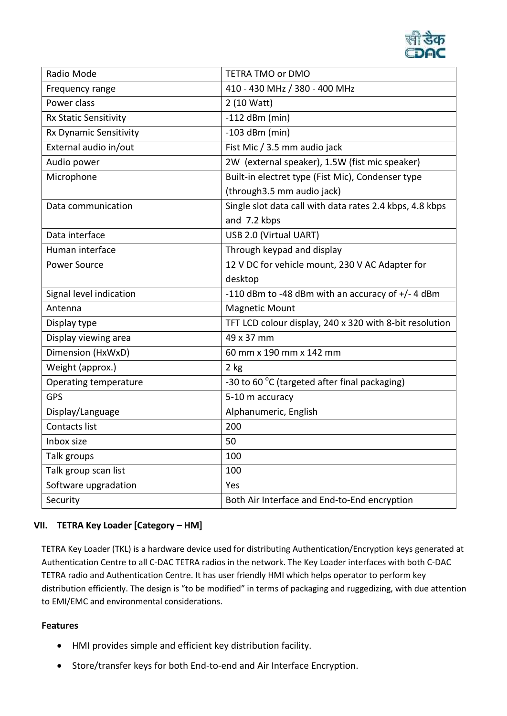

| Radio Mode              | TETRA TMO or DMO                                         |
|-------------------------|----------------------------------------------------------|
| Frequency range         | 410 - 430 MHz / 380 - 400 MHz                            |
| Power class             | 2 (10 Watt)                                              |
| Rx Static Sensitivity   | $-112$ dBm (min)                                         |
| Rx Dynamic Sensitivity  | $-103$ dBm (min)                                         |
| External audio in/out   | Fist Mic / 3.5 mm audio jack                             |
| Audio power             | 2W (external speaker), 1.5W (fist mic speaker)           |
| Microphone              | Built-in electret type (Fist Mic), Condenser type        |
|                         | (through 3.5 mm audio jack)                              |
| Data communication      | Single slot data call with data rates 2.4 kbps, 4.8 kbps |
|                         | and 7.2 kbps                                             |
| Data interface          | USB 2.0 (Virtual UART)                                   |
| Human interface         | Through keypad and display                               |
| Power Source            | 12 V DC for vehicle mount, 230 V AC Adapter for          |
|                         | desktop                                                  |
| Signal level indication | -110 dBm to -48 dBm with an accuracy of $+/- 4$ dBm      |
| Antenna                 | <b>Magnetic Mount</b>                                    |
| Display type            | TFT LCD colour display, 240 x 320 with 8-bit resolution  |
| Display viewing area    | 49 x 37 mm                                               |
| Dimension (HxWxD)       | 60 mm x 190 mm x 142 mm                                  |
| Weight (approx.)        | $2$ kg                                                   |
| Operating temperature   | -30 to 60 °C (targeted after final packaging)            |
| <b>GPS</b>              | 5-10 m accuracy                                          |
| Display/Language        | Alphanumeric, English                                    |
| Contacts list           | 200                                                      |
| Inbox size              | 50                                                       |
| Talk groups             | 100                                                      |
| Talk group scan list    | 100                                                      |
| Software upgradation    | Yes                                                      |
| Security                | Both Air Interface and End-to-End encryption             |

# **VII. TETRA Key Loader [Category – HM]**

TETRA Key Loader (TKL) is a hardware device used for distributing Authentication/Encryption keys generated at Authentication Centre to all C-DAC TETRA radios in the network. The Key Loader interfaces with both C-DAC TETRA radio and Authentication Centre. It has user friendly HMI which helps operator to perform key distribution efficiently. The design is "to be modified" in terms of packaging and ruggedizing, with due attention to EMI/EMC and environmental considerations.

## **Features**

- HMI provides simple and efficient key distribution facility.
- Store/transfer keys for both End-to-end and Air Interface Encryption.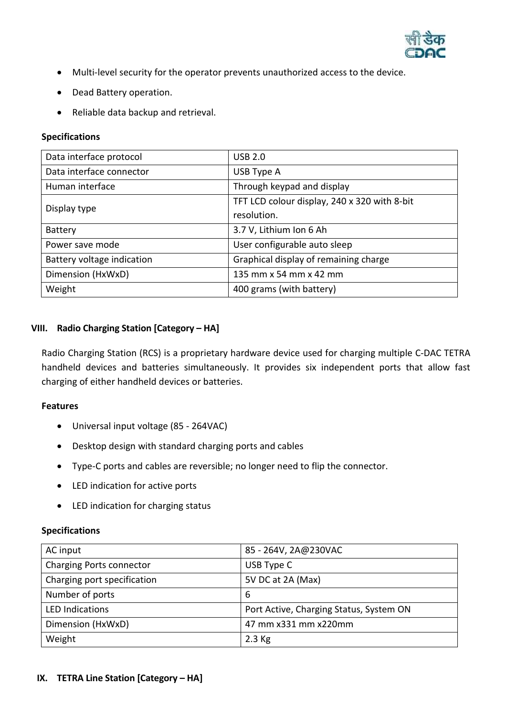

- Multi-level security for the operator prevents unauthorized access to the device.
- Dead Battery operation.
- Reliable data backup and retrieval.

# **Specifications**

| Data interface protocol    | <b>USB 2.0</b>                               |
|----------------------------|----------------------------------------------|
| Data interface connector   | USB Type A                                   |
| Human interface            | Through keypad and display                   |
| Display type               | TFT LCD colour display, 240 x 320 with 8-bit |
|                            | resolution.                                  |
| Battery                    | 3.7 V, Lithium Ion 6 Ah                      |
| Power save mode            | User configurable auto sleep                 |
| Battery voltage indication | Graphical display of remaining charge        |
| Dimension (HxWxD)          | 135 mm x 54 mm x 42 mm                       |
| Weight                     | 400 grams (with battery)                     |

# **VIII. Radio Charging Station [Category – HA]**

Radio Charging Station (RCS) is a proprietary hardware device used for charging multiple C-DAC TETRA handheld devices and batteries simultaneously. It provides six independent ports that allow fast charging of either handheld devices or batteries.

## **Features**

- Universal input voltage (85 264VAC)
- Desktop design with standard charging ports and cables
- Type-C ports and cables are reversible; no longer need to flip the connector.
- LED indication for active ports
- LED indication for charging status

| AC input                        | 85 - 264V, 2A@230VAC                    |
|---------------------------------|-----------------------------------------|
| <b>Charging Ports connector</b> | USB Type C                              |
| Charging port specification     | 5V DC at 2A (Max)                       |
| Number of ports                 | 6                                       |
| <b>LED Indications</b>          | Port Active, Charging Status, System ON |
| Dimension (HxWxD)               | 47 mm x331 mm x220mm                    |
| Weight                          | $2.3$ Kg                                |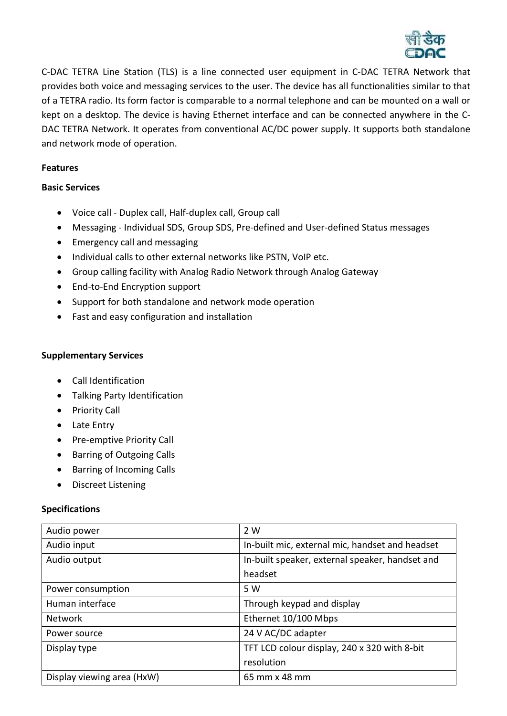

C-DAC TETRA Line Station (TLS) is a line connected user equipment in C-DAC TETRA Network that provides both voice and messaging services to the user. The device has all functionalities similar to that of a TETRA radio. Its form factor is comparable to a normal telephone and can be mounted on a wall or kept on a desktop. The device is having Ethernet interface and can be connected anywhere in the C-DAC TETRA Network. It operates from conventional AC/DC power supply. It supports both standalone and network mode of operation.

# **Features**

## **Basic Services**

- Voice call Duplex call, Half-duplex call, Group call
- Messaging Individual SDS, Group SDS, Pre-defined and User-defined Status messages
- Emergency call and messaging
- Individual calls to other external networks like PSTN, VoIP etc.
- Group calling facility with Analog Radio Network through Analog Gateway
- End-to-End Encryption support
- Support for both standalone and network mode operation
- Fast and easy configuration and installation

# **Supplementary Services**

- Call Identification
- Talking Party Identification
- Priority Call
- Late Entry
- Pre-emptive Priority Call
- Barring of Outgoing Calls
- Barring of Incoming Calls
- Discreet Listening

| Audio power                | 2 W                                             |
|----------------------------|-------------------------------------------------|
| Audio input                | In-built mic, external mic, handset and headset |
| Audio output               | In-built speaker, external speaker, handset and |
|                            | headset                                         |
| Power consumption          | 5 W                                             |
| Human interface            | Through keypad and display                      |
| <b>Network</b>             | Ethernet 10/100 Mbps                            |
| Power source               | 24 V AC/DC adapter                              |
| Display type               | TFT LCD colour display, 240 x 320 with 8-bit    |
|                            | resolution                                      |
| Display viewing area (HxW) | 65 mm x 48 mm                                   |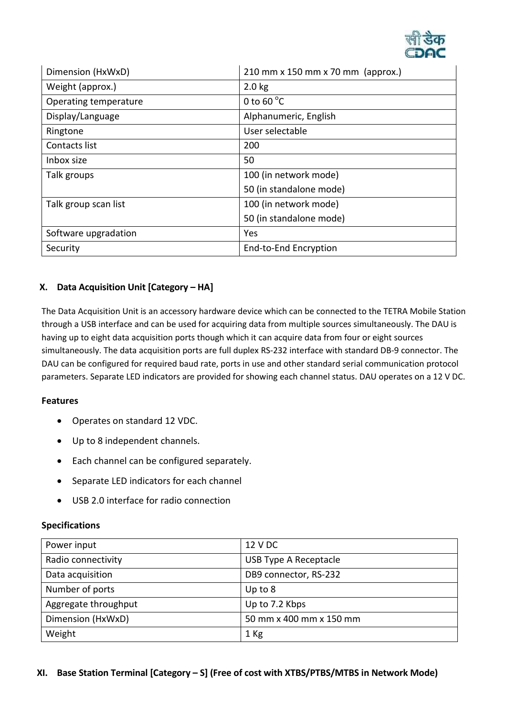

| Dimension (HxWxD)     | 210 mm x 150 mm x 70 mm (approx.) |
|-----------------------|-----------------------------------|
| Weight (approx.)      | $2.0$ kg                          |
| Operating temperature | 0 to 60 $\degree$ C               |
| Display/Language      | Alphanumeric, English             |
| Ringtone              | User selectable                   |
| Contacts list         | 200                               |
| Inbox size            | 50                                |
| Talk groups           | 100 (in network mode)             |
|                       | 50 (in standalone mode)           |
| Talk group scan list  | 100 (in network mode)             |
|                       | 50 (in standalone mode)           |
| Software upgradation  | Yes                               |
| Security              | End-to-End Encryption             |

# **X. Data Acquisition Unit [Category – HA]**

The Data Acquisition Unit is an accessory hardware device which can be connected to the TETRA Mobile Station through a USB interface and can be used for acquiring data from multiple sources simultaneously. The DAU is having up to eight data acquisition ports though which it can acquire data from four or eight sources simultaneously. The data acquisition ports are full duplex RS-232 interface with standard DB-9 connector. The DAU can be configured for required baud rate, ports in use and other standard serial communication protocol parameters. Separate LED indicators are provided for showing each channel status. DAU operates on a 12 V DC.

## **Features**

- Operates on standard 12 VDC.
- Up to 8 independent channels.
- Each channel can be configured separately.
- Separate LED indicators for each channel
- USB 2.0 interface for radio connection

| Power input          | 12 V DC                 |
|----------------------|-------------------------|
| Radio connectivity   | USB Type A Receptacle   |
| Data acquisition     | DB9 connector, RS-232   |
| Number of ports      | Up to $8$               |
| Aggregate throughput | Up to 7.2 Kbps          |
| Dimension (HxWxD)    | 50 mm x 400 mm x 150 mm |
| Weight               | $1$ Kg                  |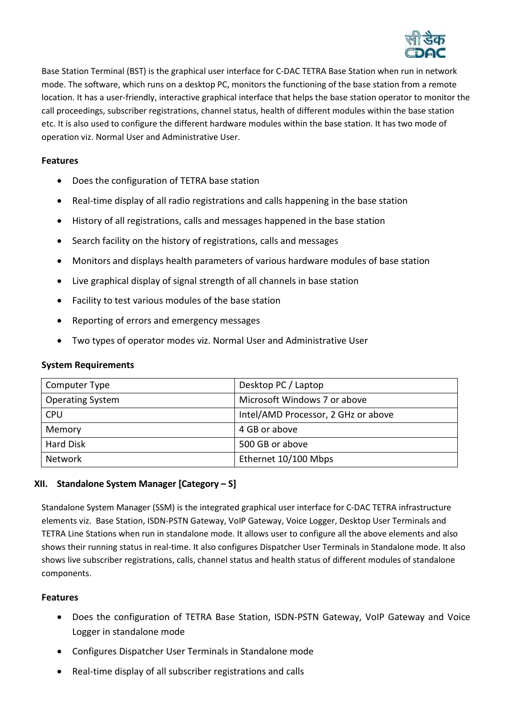

Base Station Terminal (BST) is the graphical user interface for C-DAC TETRA Base Station when run in network mode. The software, which runs on a desktop PC, monitors the functioning of the base station from a remote location. It has a user-friendly, interactive graphical interface that helps the base station operator to monitor the call proceedings, subscriber registrations, channel status, health of different modules within the base station etc. It is also used to configure the different hardware modules within the base station. It has two mode of operation viz. Normal User and Administrative User.

## **Features**

- Does the configuration of TETRA base station
- Real-time display of all radio registrations and calls happening in the base station
- History of all registrations, calls and messages happened in the base station
- Search facility on the history of registrations, calls and messages
- Monitors and displays health parameters of various hardware modules of base station
- Live graphical display of signal strength of all channels in base station
- Facility to test various modules of the base station
- Reporting of errors and emergency messages
- Two types of operator modes viz. Normal User and Administrative User

## **System Requirements**

| Computer Type           | Desktop PC / Laptop                 |
|-------------------------|-------------------------------------|
| <b>Operating System</b> | Microsoft Windows 7 or above        |
| <b>CPU</b>              | Intel/AMD Processor, 2 GHz or above |
| Memory                  | 4 GB or above                       |
| <b>Hard Disk</b>        | 500 GB or above                     |
| <b>Network</b>          | Ethernet 10/100 Mbps                |

# **XII. Standalone System Manager [Category – S]**

Standalone System Manager (SSM) is the integrated graphical user interface for C-DAC TETRA infrastructure elements viz. Base Station, ISDN-PSTN Gateway, VoIP Gateway, Voice Logger, Desktop User Terminals and TETRA Line Stations when run in standalone mode. It allows user to configure all the above elements and also shows their running status in real-time. It also configures Dispatcher User Terminals in Standalone mode. It also shows live subscriber registrations, calls, channel status and health status of different modules of standalone components.

# **Features**

- Does the configuration of TETRA Base Station, ISDN-PSTN Gateway, VoIP Gateway and Voice Logger in standalone mode
- Configures Dispatcher User Terminals in Standalone mode
- Real-time display of all subscriber registrations and calls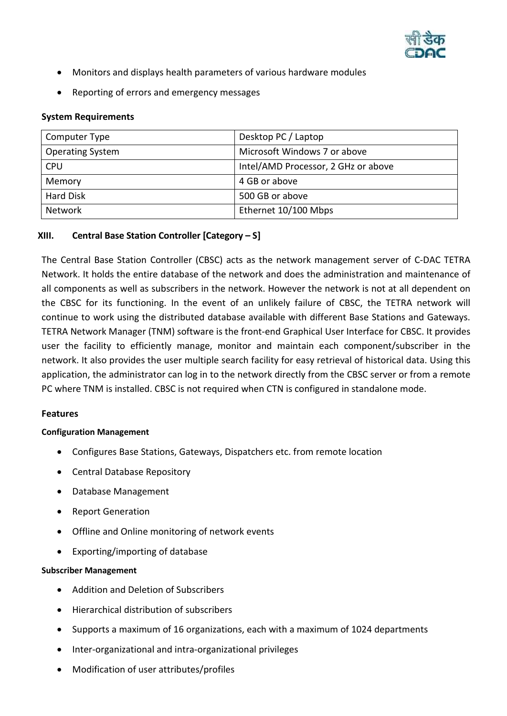

- Monitors and displays health parameters of various hardware modules
- Reporting of errors and emergency messages

| Computer Type           | Desktop PC / Laptop                 |
|-------------------------|-------------------------------------|
| <b>Operating System</b> | Microsoft Windows 7 or above        |
| <b>CPU</b>              | Intel/AMD Processor, 2 GHz or above |
| Memory                  | 4 GB or above                       |
| <b>Hard Disk</b>        | 500 GB or above                     |
| <b>Network</b>          | Ethernet 10/100 Mbps                |

# **XIII. Central Base Station Controller [Category – S]**

The Central Base Station Controller (CBSC) acts as the network management server of C-DAC TETRA Network. It holds the entire database of the network and does the administration and maintenance of all components as well as subscribers in the network. However the network is not at all dependent on the CBSC for its functioning. In the event of an unlikely failure of CBSC, the TETRA network will continue to work using the distributed database available with different Base Stations and Gateways. TETRA Network Manager (TNM) software is the front-end Graphical User Interface for CBSC. It provides user the facility to efficiently manage, monitor and maintain each component/subscriber in the network. It also provides the user multiple search facility for easy retrieval of historical data. Using this application, the administrator can log in to the network directly from the CBSC server or from a remote PC where TNM is installed. CBSC is not required when CTN is configured in standalone mode.

## **Features**

## **Configuration Management**

- Configures Base Stations, Gateways, Dispatchers etc. from remote location
- Central Database Repository
- Database Management
- Report Generation
- Offline and Online monitoring of network events
- Exporting/importing of database

#### **Subscriber Management**

- Addition and Deletion of Subscribers
- Hierarchical distribution of subscribers
- Supports a maximum of 16 organizations, each with a maximum of 1024 departments
- Inter-organizational and intra-organizational privileges
- Modification of user attributes/profiles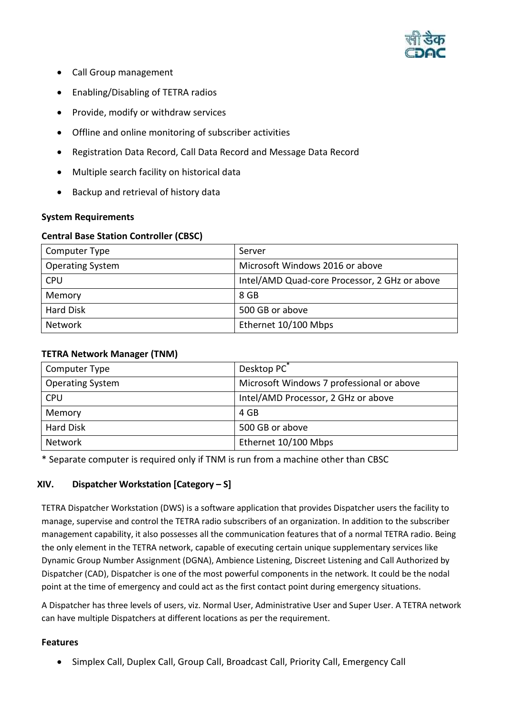

- Call Group management
- Enabling/Disabling of TETRA radios
- Provide, modify or withdraw services
- Offline and online monitoring of subscriber activities
- Registration Data Record, Call Data Record and Message Data Record
- Multiple search facility on historical data
- Backup and retrieval of history data

# **Central Base Station Controller (CBSC)**

| Computer Type           | Server                                        |
|-------------------------|-----------------------------------------------|
| <b>Operating System</b> | Microsoft Windows 2016 or above               |
| <b>CPU</b>              | Intel/AMD Quad-core Processor, 2 GHz or above |
| Memory                  | 8 GB                                          |
| <b>Hard Disk</b>        | 500 GB or above                               |
| <b>Network</b>          | Ethernet 10/100 Mbps                          |

# **TETRA Network Manager (TNM)**

| Computer Type           | Desktop PC <sup>*</sup>                   |
|-------------------------|-------------------------------------------|
| <b>Operating System</b> | Microsoft Windows 7 professional or above |
| <b>CPU</b>              | Intel/AMD Processor, 2 GHz or above       |
| Memory                  | 4 GB                                      |
| <b>Hard Disk</b>        | 500 GB or above                           |
| <b>Network</b>          | Ethernet 10/100 Mbps                      |

\* Separate computer is required only if TNM is run from a machine other than CBSC

# **XIV. Dispatcher Workstation [Category – S]**

TETRA Dispatcher Workstation (DWS) is a software application that provides Dispatcher users the facility to manage, supervise and control the TETRA radio subscribers of an organization. In addition to the subscriber management capability, it also possesses all the communication features that of a normal TETRA radio. Being the only element in the TETRA network, capable of executing certain unique supplementary services like Dynamic Group Number Assignment (DGNA), Ambience Listening, Discreet Listening and Call Authorized by Dispatcher (CAD), Dispatcher is one of the most powerful components in the network. It could be the nodal point at the time of emergency and could act as the first contact point during emergency situations.

A Dispatcher has three levels of users, viz. Normal User, Administrative User and Super User. A TETRA network can have multiple Dispatchers at different locations as per the requirement.

## **Features**

Simplex Call, Duplex Call, Group Call, Broadcast Call, Priority Call, Emergency Call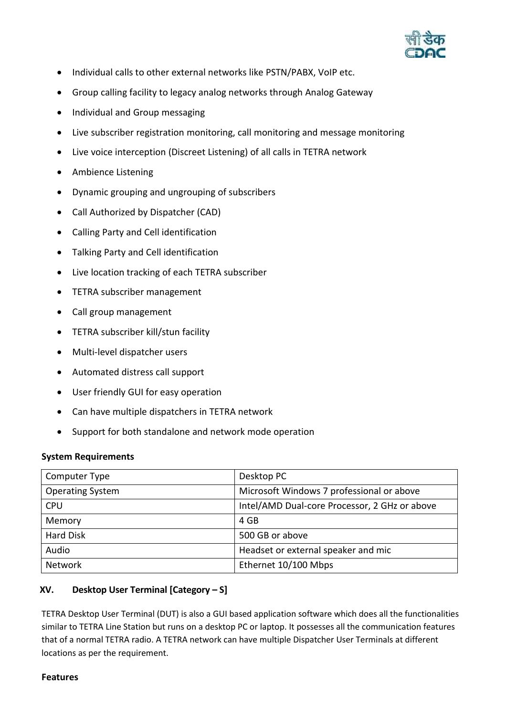

- Individual calls to other external networks like PSTN/PABX, VoIP etc.
- Group calling facility to legacy analog networks through Analog Gateway
- Individual and Group messaging
- Live subscriber registration monitoring, call monitoring and message monitoring
- Live voice interception (Discreet Listening) of all calls in TETRA network
- Ambience Listening
- Dynamic grouping and ungrouping of subscribers
- Call Authorized by Dispatcher (CAD)
- Calling Party and Cell identification
- Talking Party and Cell identification
- Live location tracking of each TETRA subscriber
- TETRA subscriber management
- Call group management
- TETRA subscriber kill/stun facility
- Multi-level dispatcher users
- Automated distress call support
- User friendly GUI for easy operation
- Can have multiple dispatchers in TETRA network
- Support for both standalone and network mode operation

| Computer Type           | Desktop PC                                    |
|-------------------------|-----------------------------------------------|
| <b>Operating System</b> | Microsoft Windows 7 professional or above     |
| <b>CPU</b>              | Intel/AMD Dual-core Processor, 2 GHz or above |
| Memory                  | 4 GB                                          |
| <b>Hard Disk</b>        | 500 GB or above                               |
| Audio                   | Headset or external speaker and mic           |
| <b>Network</b>          | Ethernet 10/100 Mbps                          |

# **XV. Desktop User Terminal [Category – S]**

TETRA Desktop User Terminal (DUT) is also a GUI based application software which does all the functionalities similar to TETRA Line Station but runs on a desktop PC or laptop. It possesses all the communication features that of a normal TETRA radio. A TETRA network can have multiple Dispatcher User Terminals at different locations as per the requirement.

## **Features**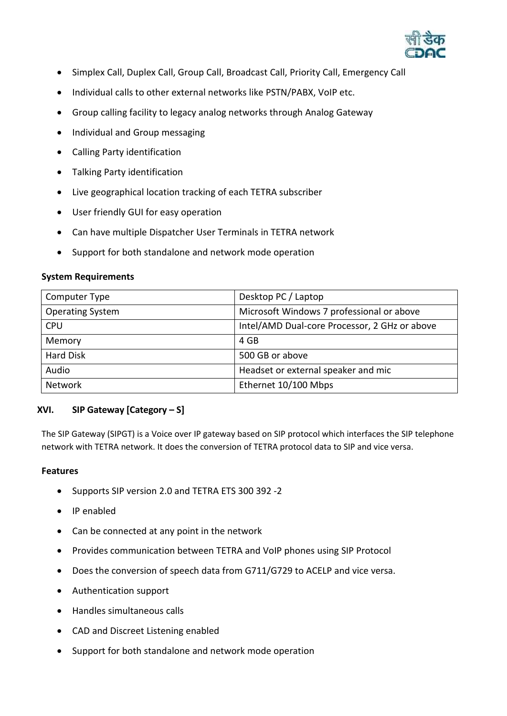

- Simplex Call, Duplex Call, Group Call, Broadcast Call, Priority Call, Emergency Call
- Individual calls to other external networks like PSTN/PABX, VoIP etc.
- Group calling facility to legacy analog networks through Analog Gateway
- Individual and Group messaging
- Calling Party identification
- Talking Party identification
- Live geographical location tracking of each TETRA subscriber
- User friendly GUI for easy operation
- Can have multiple Dispatcher User Terminals in TETRA network
- Support for both standalone and network mode operation

| Computer Type           | Desktop PC / Laptop                           |
|-------------------------|-----------------------------------------------|
| <b>Operating System</b> | Microsoft Windows 7 professional or above     |
| <b>CPU</b>              | Intel/AMD Dual-core Processor, 2 GHz or above |
| Memory                  | 4 GB                                          |
| <b>Hard Disk</b>        | 500 GB or above                               |
| Audio                   | Headset or external speaker and mic           |
| <b>Network</b>          | Ethernet 10/100 Mbps                          |

## **XVI. SIP Gateway [Category – S]**

The SIP Gateway (SIPGT) is a Voice over IP gateway based on SIP protocol which interfaces the SIP telephone network with TETRA network. It does the conversion of TETRA protocol data to SIP and vice versa.

#### **Features**

- Supports SIP version 2.0 and TETRA ETS 300 392 -2
- IP enabled
- Can be connected at any point in the network
- Provides communication between TETRA and VoIP phones using SIP Protocol
- Does the conversion of speech data from G711/G729 to ACELP and vice versa.
- Authentication support
- Handles simultaneous calls
- CAD and Discreet Listening enabled
- Support for both standalone and network mode operation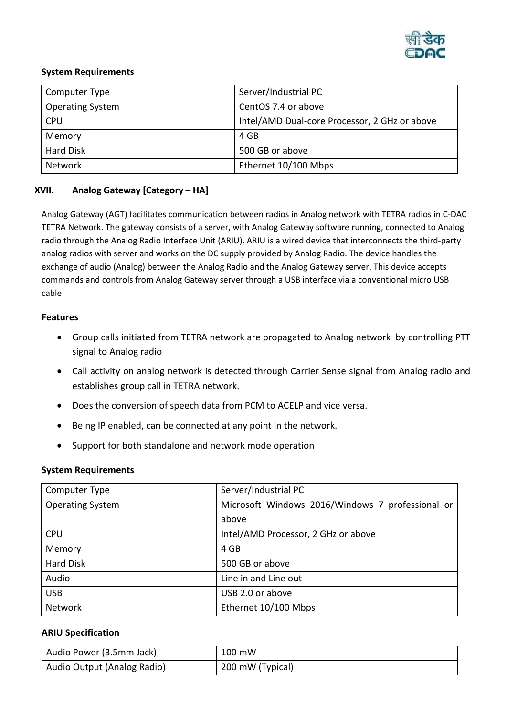

| Computer Type           | Server/Industrial PC                          |
|-------------------------|-----------------------------------------------|
| <b>Operating System</b> | CentOS 7.4 or above                           |
| <b>CPU</b>              | Intel/AMD Dual-core Processor, 2 GHz or above |
| Memory                  | 4 GB                                          |
| <b>Hard Disk</b>        | 500 GB or above                               |
| Network                 | Ethernet 10/100 Mbps                          |

# **XVII. Analog Gateway [Category – HA]**

Analog Gateway (AGT) facilitates communication between radios in Analog network with TETRA radios in C-DAC TETRA Network. The gateway consists of a server, with Analog Gateway software running, connected to Analog radio through the Analog Radio Interface Unit (ARIU). ARIU is a wired device that interconnects the third-party analog radios with server and works on the DC supply provided by Analog Radio. The device handles the exchange of audio (Analog) between the Analog Radio and the Analog Gateway server. This device accepts commands and controls from Analog Gateway server through a USB interface via a conventional micro USB cable.

#### **Features**

- Group calls initiated from TETRA network are propagated to Analog network by controlling PTT signal to Analog radio
- Call activity on analog network is detected through Carrier Sense signal from Analog radio and establishes group call in TETRA network.
- Does the conversion of speech data from PCM to ACELP and vice versa.
- Being IP enabled, can be connected at any point in the network.
- Support for both standalone and network mode operation

#### **System Requirements**

| Computer Type           | Server/Industrial PC                             |
|-------------------------|--------------------------------------------------|
| <b>Operating System</b> | Microsoft Windows 2016/Windows 7 professional or |
|                         | above                                            |
| <b>CPU</b>              | Intel/AMD Processor, 2 GHz or above              |
| Memory                  | 4 GB                                             |
| <b>Hard Disk</b>        | 500 GB or above                                  |
| Audio                   | Line in and Line out                             |
| <b>USB</b>              | USB 2.0 or above                                 |
| Network                 | Ethernet 10/100 Mbps                             |

## **ARIU Specification**

| Audio Power (3.5mm Jack)    | 100 mW           |
|-----------------------------|------------------|
| Audio Output (Analog Radio) | 200 mW (Typical) |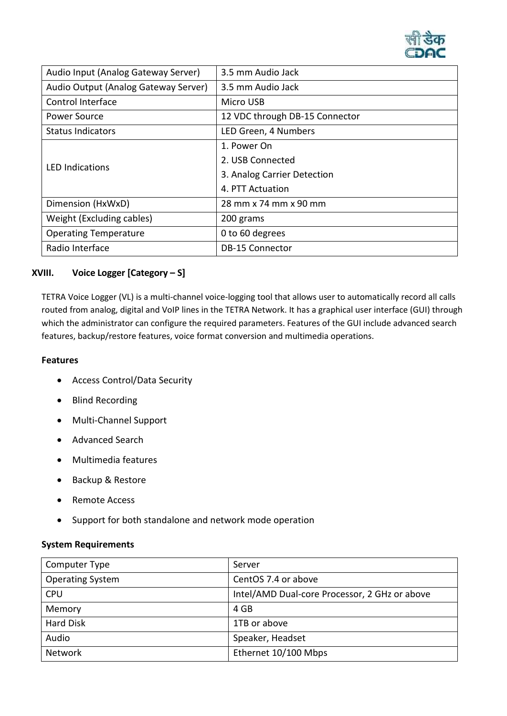

| Audio Input (Analog Gateway Server)  | 3.5 mm Audio Jack              |
|--------------------------------------|--------------------------------|
| Audio Output (Analog Gateway Server) | 3.5 mm Audio Jack              |
| Control Interface                    | Micro USB                      |
| Power Source                         | 12 VDC through DB-15 Connector |
| <b>Status Indicators</b>             | LED Green, 4 Numbers           |
| <b>LED Indications</b>               | 1. Power On                    |
|                                      | 2. USB Connected               |
|                                      | 3. Analog Carrier Detection    |
|                                      | 4. PTT Actuation               |
| Dimension (HxWxD)                    | 28 mm x 74 mm x 90 mm          |
| Weight (Excluding cables)            | 200 grams                      |
| <b>Operating Temperature</b>         | 0 to 60 degrees                |
| Radio Interface                      | <b>DB-15 Connector</b>         |

## **XVIII. Voice Logger [Category – S]**

TETRA Voice Logger (VL) is a multi-channel voice-logging tool that allows user to automatically record all calls routed from analog, digital and VoIP lines in the TETRA Network. It has a graphical user interface (GUI) through which the administrator can configure the required parameters. Features of the GUI include advanced search features, backup/restore features, voice format conversion and multimedia operations.

#### **Features**

- Access Control/Data Security
- Blind Recording
- Multi-Channel Support
- Advanced Search
- Multimedia features
- Backup & Restore
- Remote Access
- Support for both standalone and network mode operation

#### **System Requirements**

| Computer Type           | Server                                        |
|-------------------------|-----------------------------------------------|
| <b>Operating System</b> | CentOS 7.4 or above                           |
| <b>CPU</b>              | Intel/AMD Dual-core Processor, 2 GHz or above |
| Memory                  | 4 GB                                          |
| <b>Hard Disk</b>        | 1TB or above                                  |
| Audio                   | Speaker, Headset                              |
| Network                 | Ethernet 10/100 Mbps                          |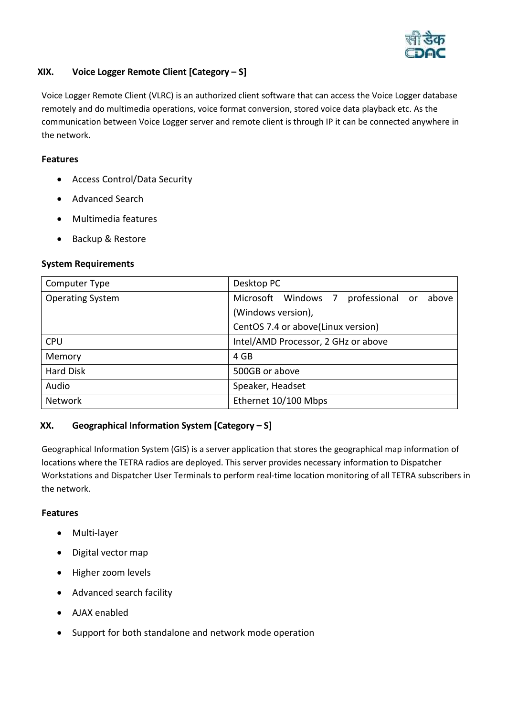

# **XIX. Voice Logger Remote Client [Category – S]**

Voice Logger Remote Client (VLRC) is an authorized client software that can access the Voice Logger database remotely and do multimedia operations, voice format conversion, stored voice data playback etc. As the communication between Voice Logger server and remote client is through IP it can be connected anywhere in the network.

## **Features**

- Access Control/Data Security
- Advanced Search
- Multimedia features
- Backup & Restore

## **System Requirements**

| Computer Type           | Desktop PC                                      |
|-------------------------|-------------------------------------------------|
| <b>Operating System</b> | Microsoft Windows 7<br>professional or<br>above |
|                         | (Windows version),                              |
|                         | CentOS 7.4 or above(Linux version)              |
| <b>CPU</b>              | Intel/AMD Processor, 2 GHz or above             |
| Memory                  | 4 GB                                            |
| <b>Hard Disk</b>        | 500GB or above                                  |
| Audio                   | Speaker, Headset                                |
| Network                 | Ethernet 10/100 Mbps                            |

# **XX. Geographical Information System [Category – S]**

Geographical Information System (GIS) is a server application that stores the geographical map information of locations where the TETRA radios are deployed. This server provides necessary information to Dispatcher Workstations and Dispatcher User Terminals to perform real-time location monitoring of all TETRA subscribers in the network.

## **Features**

- Multi-layer
- Digital vector map
- Higher zoom levels
- Advanced search facility
- AJAX enabled
- Support for both standalone and network mode operation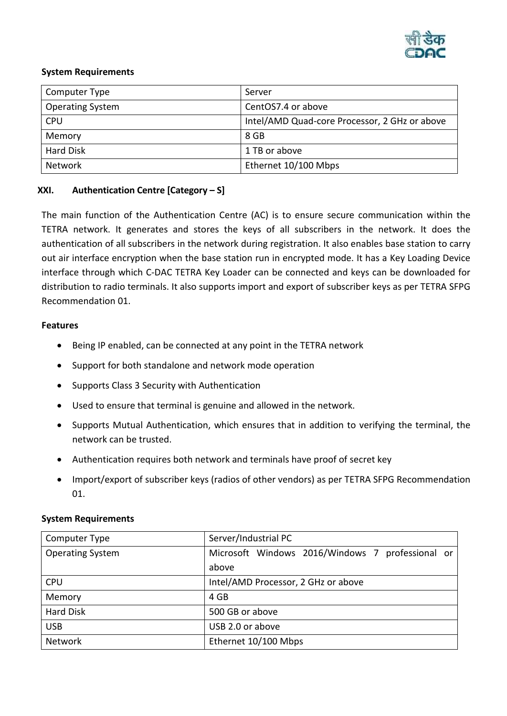

| Computer Type           | Server                                        |
|-------------------------|-----------------------------------------------|
| <b>Operating System</b> | CentOS7.4 or above                            |
| <b>CPU</b>              | Intel/AMD Quad-core Processor, 2 GHz or above |
| Memory                  | 8 GB                                          |
| <b>Hard Disk</b>        | 1 TB or above                                 |
| Network                 | Ethernet 10/100 Mbps                          |

# **XXI. Authentication Centre [Category – S]**

The main function of the Authentication Centre (AC) is to ensure secure communication within the TETRA network. It generates and stores the keys of all subscribers in the network. It does the authentication of all subscribers in the network during registration. It also enables base station to carry out air interface encryption when the base station run in encrypted mode. It has a Key Loading Device interface through which C-DAC TETRA Key Loader can be connected and keys can be downloaded for distribution to radio terminals. It also supports import and export of subscriber keys as per TETRA SFPG Recommendation 01.

#### **Features**

- Being IP enabled, can be connected at any point in the TETRA network
- Support for both standalone and network mode operation
- Supports Class 3 Security with Authentication
- Used to ensure that terminal is genuine and allowed in the network.
- Supports Mutual Authentication, which ensures that in addition to verifying the terminal, the network can be trusted.
- Authentication requires both network and terminals have proof of secret key
- Import/export of subscriber keys (radios of other vendors) as per TETRA SFPG Recommendation 01.

## **System Requirements**

| Computer Type           | Server/Industrial PC                             |
|-------------------------|--------------------------------------------------|
| <b>Operating System</b> | Microsoft Windows 2016/Windows 7 professional or |
|                         | above                                            |
| <b>CPU</b>              | Intel/AMD Processor, 2 GHz or above              |
| Memory                  | 4 GB                                             |
| <b>Hard Disk</b>        | 500 GB or above                                  |
| <b>USB</b>              | USB 2.0 or above                                 |
| Network                 | Ethernet 10/100 Mbps                             |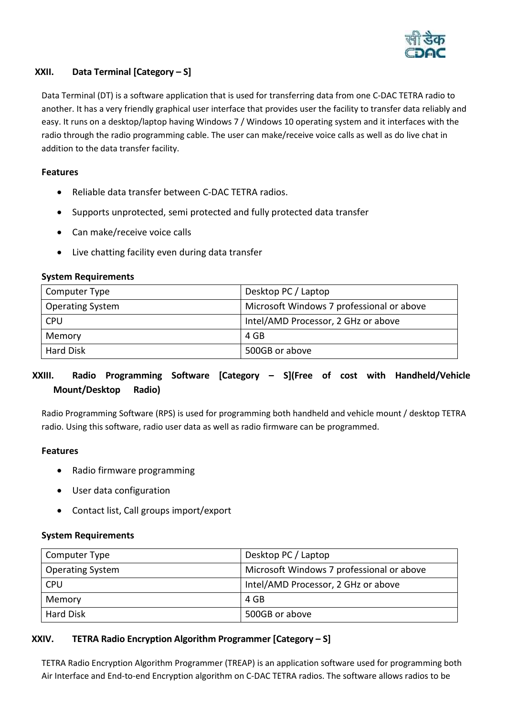

# **XXII. Data Terminal [Category – S]**

Data Terminal (DT) is a software application that is used for transferring data from one C-DAC TETRA radio to another. It has a very friendly graphical user interface that provides user the facility to transfer data reliably and easy. It runs on a desktop/laptop having Windows 7 / Windows 10 operating system and it interfaces with the radio through the radio programming cable. The user can make/receive voice calls as well as do live chat in addition to the data transfer facility.

# **Features**

- Reliable data transfer between C-DAC TETRA radios.
- Supports unprotected, semi protected and fully protected data transfer
- Can make/receive voice calls
- Live chatting facility even during data transfer

| Computer Type           | Desktop PC / Laptop                       |
|-------------------------|-------------------------------------------|
| <b>Operating System</b> | Microsoft Windows 7 professional or above |
| <b>CPU</b>              | Intel/AMD Processor, 2 GHz or above       |
| Memory                  | 4 GB                                      |
| <b>Hard Disk</b>        | 500GB or above                            |

#### **System Requirements**

# **XXIII. Radio Programming Software [Category – S](Free of cost with Handheld/Vehicle Mount/Desktop Radio)**

Radio Programming Software (RPS) is used for programming both handheld and vehicle mount / desktop TETRA radio. Using this software, radio user data as well as radio firmware can be programmed.

## **Features**

- Radio firmware programming
- User data configuration
- Contact list, Call groups import/export

## **System Requirements**

| Computer Type           | Desktop PC / Laptop                       |
|-------------------------|-------------------------------------------|
| <b>Operating System</b> | Microsoft Windows 7 professional or above |
| <b>CPU</b>              | Intel/AMD Processor, 2 GHz or above       |
| Memory                  | 4 GB                                      |
| <b>Hard Disk</b>        | 500GB or above                            |

# **XXIV. TETRA Radio Encryption Algorithm Programmer [Category – S]**

TETRA Radio Encryption Algorithm Programmer (TREAP) is an application software used for programming both Air Interface and End-to-end Encryption algorithm on C-DAC TETRA radios. The software allows radios to be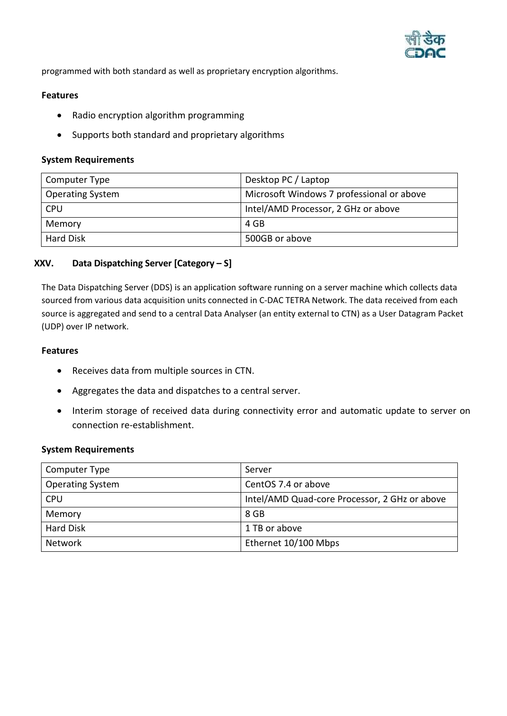

programmed with both standard as well as proprietary encryption algorithms.

#### **Features**

- Radio encryption algorithm programming
- Supports both standard and proprietary algorithms

#### **System Requirements**

| Computer Type           | Desktop PC / Laptop                       |
|-------------------------|-------------------------------------------|
| <b>Operating System</b> | Microsoft Windows 7 professional or above |
| <b>CPU</b>              | Intel/AMD Processor, 2 GHz or above       |
| Memory                  | 4 GB                                      |
| <b>Hard Disk</b>        | 500GB or above                            |

## **XXV. Data Dispatching Server [Category – S]**

The Data Dispatching Server (DDS) is an application software running on a server machine which collects data sourced from various data acquisition units connected in C-DAC TETRA Network. The data received from each source is aggregated and send to a central Data Analyser (an entity external to CTN) as a User Datagram Packet (UDP) over IP network.

#### **Features**

- Receives data from multiple sources in CTN.
- Aggregates the data and dispatches to a central server.
- Interim storage of received data during connectivity error and automatic update to server on connection re-establishment.

#### **System Requirements**

| Computer Type           | Server                                        |
|-------------------------|-----------------------------------------------|
| <b>Operating System</b> | CentOS 7.4 or above                           |
| <b>CPU</b>              | Intel/AMD Quad-core Processor, 2 GHz or above |
| Memory                  | 8 GB                                          |
| Hard Disk               | 1 TB or above                                 |
| <b>Network</b>          | Ethernet 10/100 Mbps                          |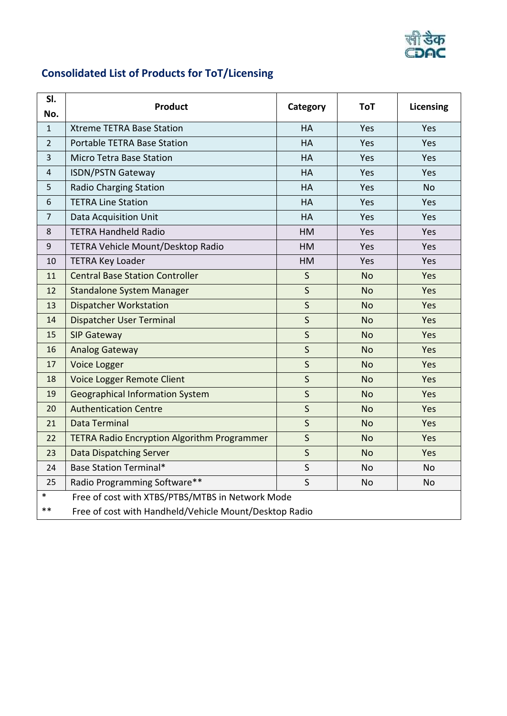

# **Consolidated List of Products for ToT/Licensing**

| SI.<br>No.     | <b>Product</b>                                         | Category     | ToT       | <b>Licensing</b> |
|----------------|--------------------------------------------------------|--------------|-----------|------------------|
| $\mathbf{1}$   | <b>Xtreme TETRA Base Station</b>                       | HA           | Yes       | Yes              |
| $\overline{2}$ | Portable TETRA Base Station                            | <b>HA</b>    | Yes       | Yes              |
| $\overline{3}$ | <b>Micro Tetra Base Station</b>                        | HA           | Yes       | Yes              |
| 4              | <b>ISDN/PSTN Gateway</b>                               | <b>HA</b>    | Yes       | Yes              |
| 5              | <b>Radio Charging Station</b>                          | HA           | Yes       | <b>No</b>        |
| 6              | <b>TETRA Line Station</b>                              | HA           | Yes       | Yes              |
| $\overline{7}$ | Data Acquisition Unit                                  | <b>HA</b>    | Yes       | Yes              |
| 8              | <b>TETRA Handheld Radio</b>                            | HM           | Yes       | Yes              |
| $9\,$          | TETRA Vehicle Mount/Desktop Radio                      | HM           | Yes       | Yes              |
| 10             | <b>TETRA Key Loader</b>                                | HM           | Yes       | Yes              |
| 11             | <b>Central Base Station Controller</b>                 | $\sf S$      | <b>No</b> | Yes              |
| 12             | <b>Standalone System Manager</b>                       | $\sf S$      | <b>No</b> | Yes              |
| 13             | <b>Dispatcher Workstation</b>                          | $\mathsf{S}$ | <b>No</b> | Yes              |
| 14             | Dispatcher User Terminal                               | $\mathsf{S}$ | <b>No</b> | Yes              |
| 15             | <b>SIP Gateway</b>                                     | $\mathsf{S}$ | <b>No</b> | Yes              |
| 16             | <b>Analog Gateway</b>                                  | $\mathsf{S}$ | <b>No</b> | Yes              |
| 17             | Voice Logger                                           | $\mathsf{S}$ | <b>No</b> | Yes              |
| 18             | Voice Logger Remote Client                             | $\mathsf{S}$ | <b>No</b> | Yes              |
| 19             | <b>Geographical Information System</b>                 | S            | <b>No</b> | Yes              |
| 20             | <b>Authentication Centre</b>                           | S            | <b>No</b> | Yes              |
| 21             | Data Terminal                                          | $\mathsf{S}$ | <b>No</b> | Yes              |
| 22             | <b>TETRA Radio Encryption Algorithm Programmer</b>     | $\mathsf{S}$ | <b>No</b> | Yes              |
| 23             | <b>Data Dispatching Server</b>                         | $\mathsf{S}$ | <b>No</b> | Yes              |
| 24             | <b>Base Station Terminal*</b>                          | $\mathsf{S}$ | <b>No</b> | <b>No</b>        |
| 25             | Radio Programming Software**                           | $\mathsf{S}$ | <b>No</b> | <b>No</b>        |
| $\ast$         | Free of cost with XTBS/PTBS/MTBS in Network Mode       |              |           |                  |
| $***$          | Free of cost with Handheld/Vehicle Mount/Desktop Radio |              |           |                  |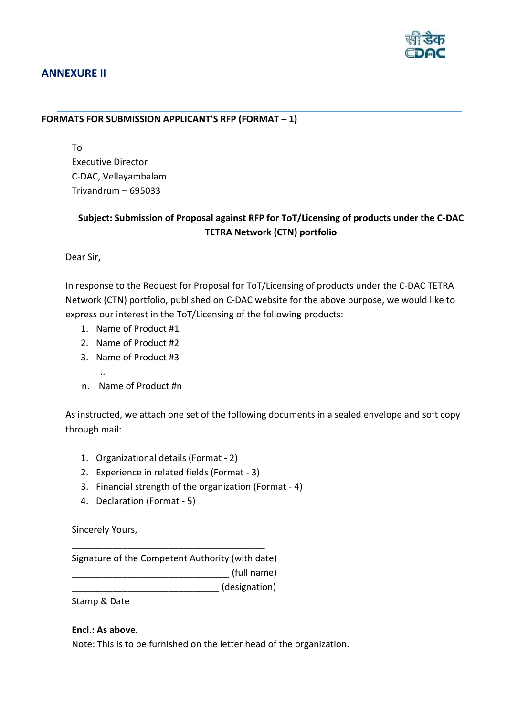

# <span id="page-43-0"></span>**ANNEXURE II**

# **FORMATS FOR SUBMISSION APPLICANT'S RFP (FORMAT – 1)**

To Executive Director C-DAC, Vellayambalam Trivandrum – 695033

# **Subject: Submission of Proposal against RFP for ToT/Licensing of products under the C-DAC TETRA Network (CTN) portfolio**

Dear Sir,

In response to the Request for Proposal for ToT/Licensing of products under the C-DAC TETRA Network (CTN) portfolio, published on C-DAC website for the above purpose, we would like to express our interest in the ToT/Licensing of the following products:

- 1. Name of Product #1
- 2. Name of Product #2
- 3. Name of Product #3
- ..
	- n. Name of Product #n

As instructed, we attach one set of the following documents in a sealed envelope and soft copy through mail:

- 1. Organizational details (Format 2)
- 2. Experience in related fields (Format 3)
- 3. Financial strength of the organization (Format 4)
- 4. Declaration (Format 5)

Sincerely Yours,

Signature of the Competent Authority (with date) \_\_\_\_\_\_\_\_\_\_\_\_\_\_\_\_\_\_\_\_\_\_\_\_\_\_\_\_\_\_\_ (full name) \_\_\_\_\_\_\_\_\_\_\_\_\_\_\_\_\_\_\_\_\_\_\_\_\_\_\_\_\_ (designation)

\_\_\_\_\_\_\_\_\_\_\_\_\_\_\_\_\_\_\_\_\_\_\_\_\_\_\_\_\_\_\_\_\_\_\_\_\_\_

Stamp & Date

## **Encl.: As above.**

Note: This is to be furnished on the letter head of the organization.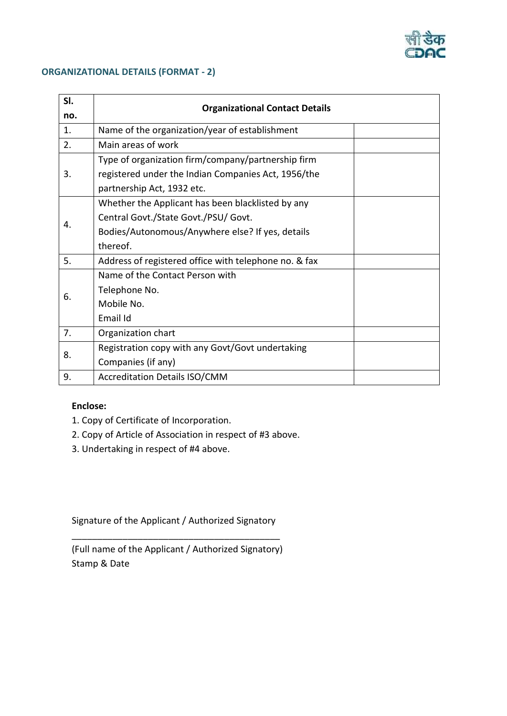

## **ORGANIZATIONAL DETAILS (FORMAT - 2)**

| SI. |                                                       |  |  |
|-----|-------------------------------------------------------|--|--|
| no. | <b>Organizational Contact Details</b>                 |  |  |
| 1.  | Name of the organization/year of establishment        |  |  |
| 2.  | Main areas of work                                    |  |  |
|     | Type of organization firm/company/partnership firm    |  |  |
| 3.  | registered under the Indian Companies Act, 1956/the   |  |  |
|     | partnership Act, 1932 etc.                            |  |  |
|     | Whether the Applicant has been blacklisted by any     |  |  |
| 4.  | Central Govt./State Govt./PSU/ Govt.                  |  |  |
|     | Bodies/Autonomous/Anywhere else? If yes, details      |  |  |
|     | thereof.                                              |  |  |
| 5.  | Address of registered office with telephone no. & fax |  |  |
|     | Name of the Contact Person with                       |  |  |
| 6.  | Telephone No.                                         |  |  |
|     | Mobile No.                                            |  |  |
|     | Email Id                                              |  |  |
| 7.  | Organization chart                                    |  |  |
| 8.  | Registration copy with any Govt/Govt undertaking      |  |  |
|     | Companies (if any)                                    |  |  |
| 9.  | <b>Accreditation Details ISO/CMM</b>                  |  |  |

# **Enclose:**

- 1. Copy of Certificate of Incorporation.
- 2. Copy of Article of Association in respect of #3 above.
- 3. Undertaking in respect of #4 above.

Signature of the Applicant / Authorized Signatory \_\_\_\_\_\_\_\_\_\_\_\_\_\_\_\_\_\_\_\_\_\_\_\_\_\_\_\_\_\_\_\_\_\_\_\_\_\_\_\_\_

(Full name of the Applicant / Authorized Signatory) Stamp & Date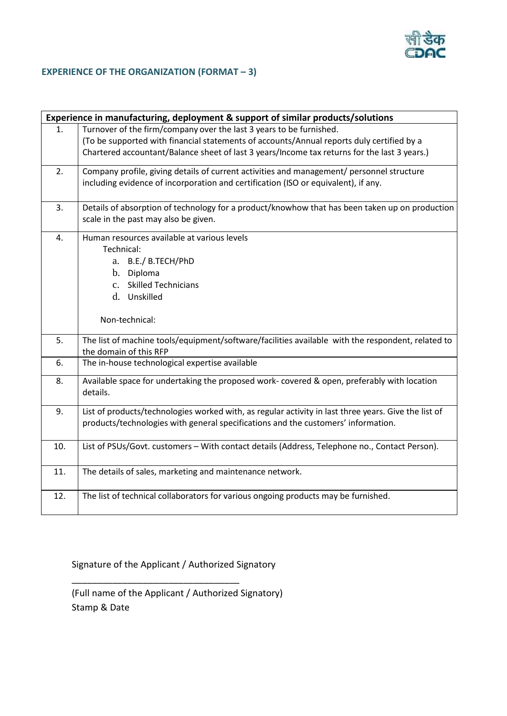

# **EXPERIENCE OF THE ORGANIZATION (FORMAT – 3)**

| Experience in manufacturing, deployment & support of similar products/solutions |                                                                                                                             |  |  |
|---------------------------------------------------------------------------------|-----------------------------------------------------------------------------------------------------------------------------|--|--|
| 1.                                                                              | Turnover of the firm/company over the last 3 years to be furnished.                                                         |  |  |
|                                                                                 | (To be supported with financial statements of accounts/Annual reports duly certified by a                                   |  |  |
|                                                                                 | Chartered accountant/Balance sheet of last 3 years/Income tax returns for the last 3 years.)                                |  |  |
| 2.                                                                              | Company profile, giving details of current activities and management/ personnel structure                                   |  |  |
|                                                                                 | including evidence of incorporation and certification (ISO or equivalent), if any.                                          |  |  |
| 3.                                                                              | Details of absorption of technology for a product/knowhow that has been taken up on production                              |  |  |
|                                                                                 | scale in the past may also be given.                                                                                        |  |  |
| 4.                                                                              | Human resources available at various levels                                                                                 |  |  |
|                                                                                 | Technical:                                                                                                                  |  |  |
|                                                                                 | a. B.E./ B.TECH/PhD                                                                                                         |  |  |
|                                                                                 | b. Diploma                                                                                                                  |  |  |
|                                                                                 | <b>Skilled Technicians</b><br>$c_{\cdot}$                                                                                   |  |  |
|                                                                                 | Unskilled<br>d.                                                                                                             |  |  |
|                                                                                 | Non-technical:                                                                                                              |  |  |
| 5.                                                                              | The list of machine tools/equipment/software/facilities available with the respondent, related to<br>the domain of this RFP |  |  |
| 6.                                                                              | The in-house technological expertise available                                                                              |  |  |
| 8.                                                                              | Available space for undertaking the proposed work-covered & open, preferably with location<br>details.                      |  |  |
| 9.                                                                              | List of products/technologies worked with, as regular activity in last three years. Give the list of                        |  |  |
|                                                                                 | products/technologies with general specifications and the customers' information.                                           |  |  |
| 10.                                                                             | List of PSUs/Govt. customers - With contact details (Address, Telephone no., Contact Person).                               |  |  |
| 11.                                                                             | The details of sales, marketing and maintenance network.                                                                    |  |  |
| 12.                                                                             | The list of technical collaborators for various ongoing products may be furnished.                                          |  |  |

Signature of the Applicant / Authorized Signatory

\_\_\_\_\_\_\_\_\_\_\_\_\_\_\_\_\_\_\_\_\_\_\_\_\_\_\_\_\_\_\_\_\_

(Full name of the Applicant / Authorized Signatory) Stamp & Date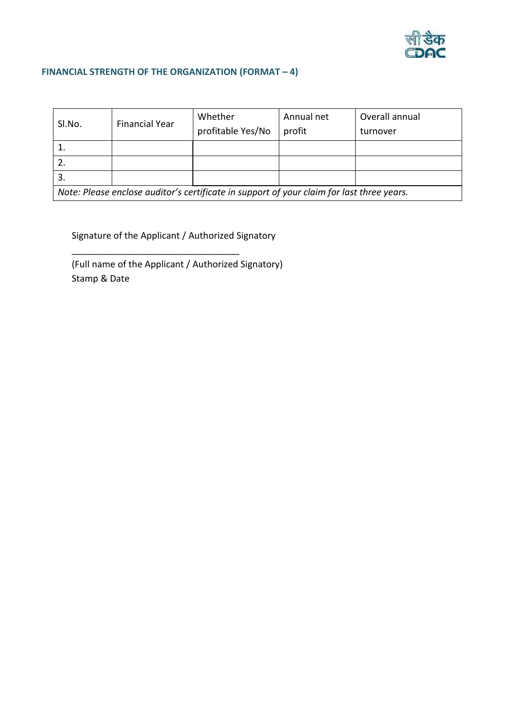

# **FINANCIAL STRENGTH OF THE ORGANIZATION (FORMAT – 4)**

| SI.No.                                                                                    | <b>Financial Year</b> | Whether           | Annual net | Overall annual |
|-------------------------------------------------------------------------------------------|-----------------------|-------------------|------------|----------------|
|                                                                                           |                       | profitable Yes/No | profit     | turnover       |
|                                                                                           |                       |                   |            |                |
|                                                                                           |                       |                   |            |                |
|                                                                                           |                       |                   |            |                |
| Note: Please enclose auditor's certificate in support of your claim for last three years. |                       |                   |            |                |

Signature of the Applicant / Authorized Signatory

\_\_\_\_\_\_\_\_\_\_\_\_\_\_\_\_\_\_\_\_\_\_\_\_\_\_\_\_\_\_\_\_\_

(Full name of the Applicant / Authorized Signatory) Stamp & Date